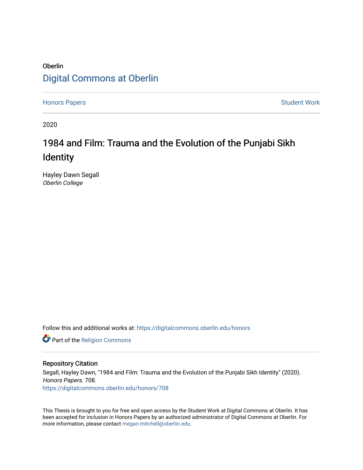## **Oberlin** [Digital Commons at Oberlin](https://digitalcommons.oberlin.edu/)

[Honors Papers](https://digitalcommons.oberlin.edu/honors) **Student Work** 

2020

# 1984 and Film: Trauma and the Evolution of the Punjabi Sikh Identity

Hayley Dawn Segall Oberlin College

Follow this and additional works at: [https://digitalcommons.oberlin.edu/honors](https://digitalcommons.oberlin.edu/honors?utm_source=digitalcommons.oberlin.edu%2Fhonors%2F708&utm_medium=PDF&utm_campaign=PDFCoverPages) 

Part of the [Religion Commons](http://network.bepress.com/hgg/discipline/538?utm_source=digitalcommons.oberlin.edu%2Fhonors%2F708&utm_medium=PDF&utm_campaign=PDFCoverPages)

#### Repository Citation

Segall, Hayley Dawn, "1984 and Film: Trauma and the Evolution of the Punjabi Sikh Identity" (2020). Honors Papers. 708. [https://digitalcommons.oberlin.edu/honors/708](https://digitalcommons.oberlin.edu/honors/708?utm_source=digitalcommons.oberlin.edu%2Fhonors%2F708&utm_medium=PDF&utm_campaign=PDFCoverPages) 

This Thesis is brought to you for free and open access by the Student Work at Digital Commons at Oberlin. It has been accepted for inclusion in Honors Papers by an authorized administrator of Digital Commons at Oberlin. For more information, please contact [megan.mitchell@oberlin.edu.](mailto:megan.mitchell@oberlin.edu)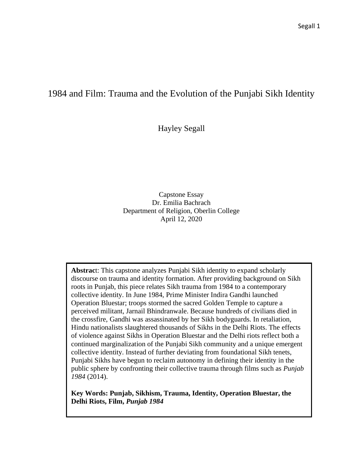### 1984 and Film: Trauma and the Evolution of the Punjabi Sikh Identity

Hayley Segall

Capstone Essay Dr. Emilia Bachrach Department of Religion, Oberlin College April 12, 2020

**Abstrac**t: This capstone analyzes Punjabi Sikh identity to expand scholarly discourse on trauma and identity formation. After providing background on Sikh roots in Punjab, this piece relates Sikh trauma from 1984 to a contemporary collective identity. In June 1984, Prime Minister Indira Gandhi launched Operation Bluestar; troops stormed the sacred Golden Temple to capture a perceived militant, Jarnail Bhindranwale. Because hundreds of civilians died in the crossfire, Gandhi was assassinated by her Sikh bodyguards. In retaliation, Hindu nationalists slaughtered thousands of Sikhs in the Delhi Riots. The effects of violence against Sikhs in Operation Bluestar and the Delhi riots reflect both a continued marginalization of the Punjabi Sikh community and a unique emergent collective identity. Instead of further deviating from foundational Sikh tenets, Punjabi Sikhs have begun to reclaim autonomy in defining their identity in the public sphere by confronting their collective trauma through films such as *Punjab 1984* (2014).

**Key Words: Punjab, Sikhism, Trauma, Identity, Operation Bluestar, the Delhi Riots, Film,** *Punjab 1984*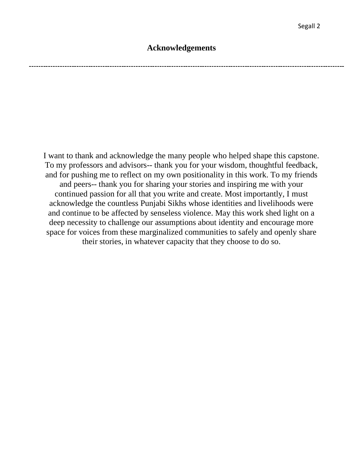### **Acknowledgements**

I want to thank and acknowledge the many people who helped shape this capstone. To my professors and advisors-- thank you for your wisdom, thoughtful feedback, and for pushing me to reflect on my own positionality in this work. To my friends and peers-- thank you for sharing your stories and inspiring me with your continued passion for all that you write and create. Most importantly, I must acknowledge the countless Punjabi Sikhs whose identities and livelihoods were and continue to be affected by senseless violence. May this work shed light on a deep necessity to challenge our assumptions about identity and encourage more space for voices from these marginalized communities to safely and openly share their stories, in whatever capacity that they choose to do so.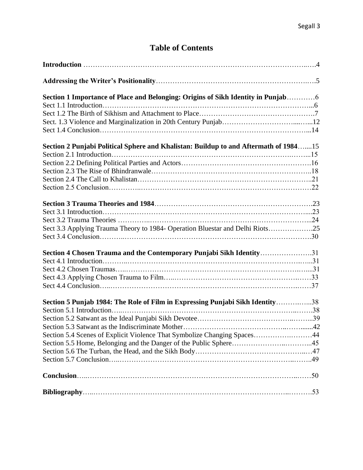### **Table of Contents**

| Section 1 Importance of Place and Belonging: Origins of Sikh Identity in Punjab6     |  |
|--------------------------------------------------------------------------------------|--|
|                                                                                      |  |
|                                                                                      |  |
|                                                                                      |  |
|                                                                                      |  |
| Section 2 Punjabi Political Sphere and Khalistan: Buildup to and Aftermath of 198415 |  |
|                                                                                      |  |
|                                                                                      |  |
|                                                                                      |  |
|                                                                                      |  |
|                                                                                      |  |
|                                                                                      |  |
|                                                                                      |  |
|                                                                                      |  |
| Sect 3.3 Applying Trauma Theory to 1984- Operation Bluestar and Delhi Riots25        |  |
|                                                                                      |  |
| Section 4 Chosen Trauma and the Contemporary Punjabi Sikh Identity31                 |  |
|                                                                                      |  |
|                                                                                      |  |
|                                                                                      |  |
|                                                                                      |  |
| Section 5 Punjab 1984: The Role of Film in Expressing Punjabi Sikh Identity38        |  |
|                                                                                      |  |
|                                                                                      |  |
|                                                                                      |  |
| Section 5.4 Scenes of Explicit Violence That Symbolize Changing Spaces44             |  |
|                                                                                      |  |
|                                                                                      |  |
|                                                                                      |  |
|                                                                                      |  |
|                                                                                      |  |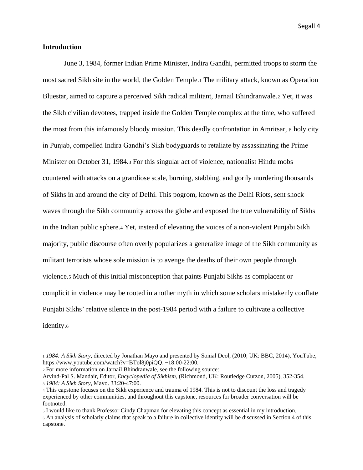#### **Introduction**

June 3, 1984, former Indian Prime Minister, Indira Gandhi, permitted troops to storm the most sacred Sikh site in the world, the Golden Temple.<sup>1</sup> The military attack, known as Operation Bluestar, aimed to capture a perceived Sikh radical militant, Jarnail Bhindranwale.<sup>2</sup> Yet, it was the Sikh civilian devotees, trapped inside the Golden Temple complex at the time, who suffered the most from this infamously bloody mission. This deadly confrontation in Amritsar, a holy city in Punjab, compelled Indira Gandhi's Sikh bodyguards to retaliate by assassinating the Prime Minister on October 31, 1984.<sup>3</sup> For this singular act of violence, nationalist Hindu mobs countered with attacks on a grandiose scale, burning, stabbing, and gorily murdering thousands of Sikhs in and around the city of Delhi. This pogrom, known as the Delhi Riots, sent shock waves through the Sikh community across the globe and exposed the true vulnerability of Sikhs in the Indian public sphere.<sup>4</sup> Yet, instead of elevating the voices of a non-violent Punjabi Sikh majority, public discourse often overly popularizes a generalize image of the Sikh community as militant terrorists whose sole mission is to avenge the deaths of their own people through violence.<sup>5</sup> Much of this initial misconception that paints Punjabi Sikhs as complacent or complicit in violence may be rooted in another myth in which some scholars mistakenly conflate Punjabi Sikhs' relative silence in the post-1984 period with a failure to cultivate a collective identity.<sup>6</sup>

<sup>2</sup> For more information on Jarnail Bhindranwale, see the following source:

<sup>1</sup> *1984: A Sikh Story,* directed by Jonathan Mayo and presented by Sonial Deol, (2010; UK: BBC, 2014), YouTube, [https://www.youtube.com/watch?v=BTol8j0piQQ.](https://www.youtube.com/watch?v=BTol8j0piQQ) ~18:00-22:00.

Arvind-Pal S. Mandair, Editor, *Encyclopedia of Sikhism*, (Richmond, UK: Routledge Curzon, 2005), 352-354. <sup>3</sup> *1984: A Sikh Story*, Mayo. 33:20-47:00.

<sup>4</sup> This capstone focuses on the Sikh experience and trauma of 1984. This is not to discount the loss and tragedy experienced by other communities, and throughout this capstone, resources for broader conversation will be footnoted.

<sup>5</sup> I would like to thank Professor Cindy Chapman for elevating this concept as essential in my introduction. <sup>6</sup> An analysis of scholarly claims that speak to a failure in collective identity will be discussed in Section 4 of this

capstone.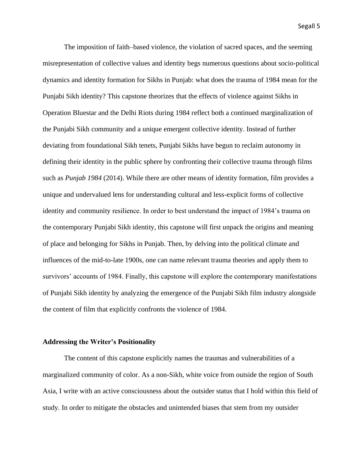The imposition of faith–based violence, the violation of sacred spaces, and the seeming misrepresentation of collective values and identity begs numerous questions about socio-political dynamics and identity formation for Sikhs in Punjab: what does the trauma of 1984 mean for the Punjabi Sikh identity? This capstone theorizes that the effects of violence against Sikhs in Operation Bluestar and the Delhi Riots during 1984 reflect both a continued marginalization of the Punjabi Sikh community and a unique emergent collective identity. Instead of further deviating from foundational Sikh tenets, Punjabi Sikhs have begun to reclaim autonomy in defining their identity in the public sphere by confronting their collective trauma through films such as *Punjab 1984* (2014). While there are other means of identity formation, film provides a unique and undervalued lens for understanding cultural and less-explicit forms of collective identity and community resilience. In order to best understand the impact of 1984's trauma on the contemporary Punjabi Sikh identity, this capstone will first unpack the origins and meaning of place and belonging for Sikhs in Punjab. Then, by delving into the political climate and influences of the mid-to-late 1900s, one can name relevant trauma theories and apply them to survivors' accounts of 1984. Finally, this capstone will explore the contemporary manifestations of Punjabi Sikh identity by analyzing the emergence of the Punjabi Sikh film industry alongside the content of film that explicitly confronts the violence of 1984.

#### **Addressing the Writer's Positionality**

The content of this capstone explicitly names the traumas and vulnerabilities of a marginalized community of color. As a non-Sikh, white voice from outside the region of South Asia, I write with an active consciousness about the outsider status that I hold within this field of study. In order to mitigate the obstacles and unintended biases that stem from my outsider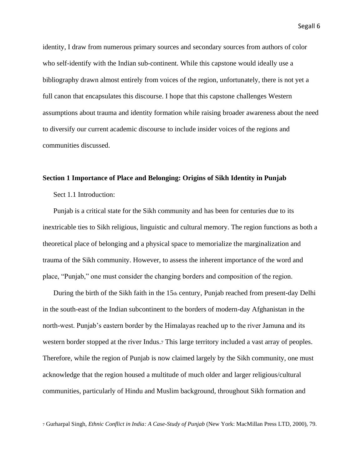identity, I draw from numerous primary sources and secondary sources from authors of color who self-identify with the Indian sub-continent. While this capstone would ideally use a bibliography drawn almost entirely from voices of the region, unfortunately, there is not yet a full canon that encapsulates this discourse. I hope that this capstone challenges Western assumptions about trauma and identity formation while raising broader awareness about the need to diversify our current academic discourse to include insider voices of the regions and communities discussed.

#### **Section 1 Importance of Place and Belonging: Origins of Sikh Identity in Punjab**

Sect 1.1 Introduction:

Punjab is a critical state for the Sikh community and has been for centuries due to its inextricable ties to Sikh religious, linguistic and cultural memory. The region functions as both a theoretical place of belonging and a physical space to memorialize the marginalization and trauma of the Sikh community. However, to assess the inherent importance of the word and place, "Punjab," one must consider the changing borders and composition of the region.

During the birth of the Sikh faith in the  $15<sub>th</sub>$  century, Punjab reached from present-day Delhi in the south-east of the Indian subcontinent to the borders of modern-day Afghanistan in the north-west. Punjab's eastern border by the Himalayas reached up to the river Jamuna and its western border stopped at the river Indus.<sup>7</sup> This large territory included a vast array of peoples. Therefore, while the region of Punjab is now claimed largely by the Sikh community, one must acknowledge that the region housed a multitude of much older and larger religious/cultural communities, particularly of Hindu and Muslim background, throughout Sikh formation and

<sup>7</sup> Gurharpal Singh, *Ethnic Conflict in India: A Case-Study of Punjab* (New York: MacMillan Press LTD, 2000), 79.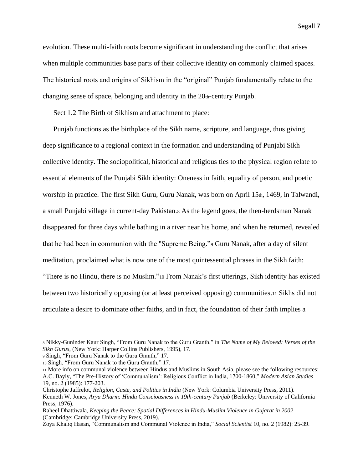evolution. These multi-faith roots become significant in understanding the conflict that arises when multiple communities base parts of their collective identity on commonly claimed spaces. The historical roots and origins of Sikhism in the "original" Punjab fundamentally relate to the changing sense of space, belonging and identity in the 20th-century Punjab.

Sect 1.2 The Birth of Sikhism and attachment to place:

Punjab functions as the birthplace of the Sikh name, scripture, and language, thus giving deep significance to a regional context in the formation and understanding of Punjabi Sikh collective identity. The sociopolitical, historical and religious ties to the physical region relate to essential elements of the Punjabi Sikh identity: Oneness in faith, equality of person, and poetic worship in practice. The first Sikh Guru, Guru Nanak, was born on April 15th, 1469, in Talwandi, a small Punjabi village in current-day Pakistan.<sup>8</sup> As the legend goes, the then-herdsman Nanak disappeared for three days while bathing in a river near his home, and when he returned, revealed that he had been in communion with the "Supreme Being."<sup>9</sup> Guru Nanak, after a day of silent meditation, proclaimed what is now one of the most quintessential phrases in the Sikh faith: "There is no Hindu, there is no Muslim."<sup>10</sup> From Nanak's first utterings, Sikh identity has existed between two historically opposing (or at least perceived opposing) communities.<sup>11</sup> Sikhs did not articulate a desire to dominate other faiths, and in fact, the foundation of their faith implies a

<sup>8</sup> Nikky-Guninder Kaur Singh, "From Guru Nanak to the Guru Granth," in *The Name of My Beloved: Verses of the Sikh Gurus*, (New York: Harper Collins Publishers, 1995), 17.

<sup>9</sup> Singh, "From Guru Nanak to the Guru Granth," 17.

<sup>10</sup> Singh, "From Guru Nanak to the Guru Granth," 17.

<sup>11</sup> More info on communal violence between Hindus and Muslims in South Asia, please see the following resources: A.C. Bayly, "The Pre-History of 'Communalism': Religious Conflict in India, 1700-1860," *Modern Asian Studies*  19, no. 2 (1985): 177-203.

Christophe Jaffrelot, *Religion, Caste, and Politics in India* (New York: Columbia University Press, 2011). Kenneth W. Jones, *Arya Dharm: Hindu Consciousness in 19th-century Punjab* (Berkeley: University of California Press, 1976).

Raheel Dhattiwala, *Keeping the Peace: Spatial Differences in Hindu-Muslim Violence in Gujarat in 2002* (Cambridge: Cambridge University Press, 2019).

Zoya Khaliq Hasan, "Communalism and Communal Violence in India," *Social Scientist* 10, no. 2 (1982): 25-39.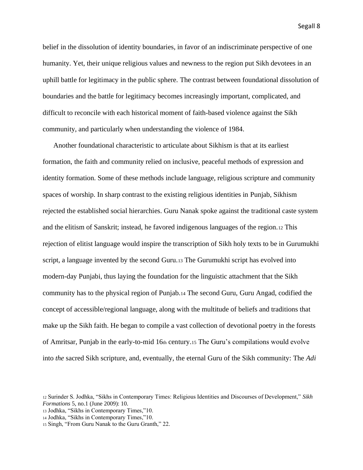belief in the dissolution of identity boundaries, in favor of an indiscriminate perspective of one humanity. Yet, their unique religious values and newness to the region put Sikh devotees in an uphill battle for legitimacy in the public sphere. The contrast between foundational dissolution of boundaries and the battle for legitimacy becomes increasingly important, complicated, and difficult to reconcile with each historical moment of faith-based violence against the Sikh community, and particularly when understanding the violence of 1984.

Another foundational characteristic to articulate about Sikhism is that at its earliest formation, the faith and community relied on inclusive, peaceful methods of expression and identity formation. Some of these methods include language, religious scripture and community spaces of worship. In sharp contrast to the existing religious identities in Punjab, Sikhism rejected the established social hierarchies. Guru Nanak spoke against the traditional caste system and the elitism of Sanskrit; instead, he favored indigenous languages of the region.<sup>12</sup> This rejection of elitist language would inspire the transcription of Sikh holy texts to be in Gurumukhi script, a language invented by the second Guru.<sup>13</sup> The Gurumukhi script has evolved into modern-day Punjabi, thus laying the foundation for the linguistic attachment that the Sikh community has to the physical region of Punjab.<sup>14</sup> The second Guru, Guru Angad, codified the concept of accessible/regional language, along with the multitude of beliefs and traditions that make up the Sikh faith. He began to compile a vast collection of devotional poetry in the forests of Amritsar, Punjab in the early-to-mid 16th century.15 The Guru's compilations would evolve into *the* sacred Sikh scripture, and, eventually, the eternal Guru of the Sikh community: The *Adi* 

<sup>12</sup> Surinder S. Jodhka, "Sikhs in Contemporary Times: Religious Identities and Discourses of Development," *Sikh Formations* 5, no.1 (June 2009): 10.

<sup>13</sup> Jodhka, "Sikhs in Contemporary Times,"10.

<sup>14</sup> Jodhka, "Sikhs in Contemporary Times,"10.

<sup>15</sup> Singh, "From Guru Nanak to the Guru Granth," 22.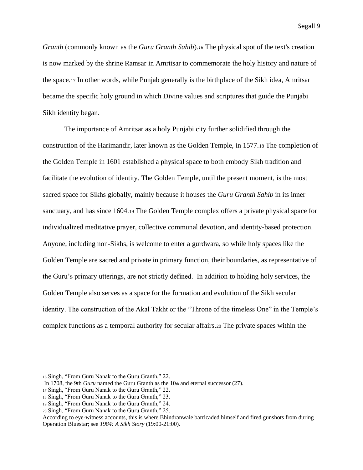*Granth* (commonly known as the *Guru Granth Sahib*)*.<sup>16</sup>* The physical spot of the text's creation is now marked by the shrine Ramsar in Amritsar to commemorate the holy history and nature of the space.<sup>17</sup> In other words, while Punjab generally is the birthplace of the Sikh idea, Amritsar became the specific holy ground in which Divine values and scriptures that guide the Punjabi Sikh identity began.

The importance of Amritsar as a holy Punjabi city further solidified through the construction of the Harimandir, later known as the Golden Temple, in 1577.<sup>18</sup> The completion of the Golden Temple in 1601 established a physical space to both embody Sikh tradition and facilitate the evolution of identity. The Golden Temple, until the present moment, is the most sacred space for Sikhs globally, mainly because it houses the *Guru Granth Sahib* in its inner sanctuary, and has since 1604.<sup>19</sup> The Golden Temple complex offers a private physical space for individualized meditative prayer, collective communal devotion, and identity-based protection. Anyone, including non-Sikhs, is welcome to enter a gurdwara, so while holy spaces like the Golden Temple are sacred and private in primary function, their boundaries, as representative of the Guru's primary utterings, are not strictly defined. In addition to holding holy services, the Golden Temple also serves as a space for the formation and evolution of the Sikh secular identity. The construction of the Akal Takht or the "Throne of the timeless One" in the Temple's complex functions as a temporal authority for secular affairs.<sup>20</sup> The private spaces within the

<sup>16</sup> Singh, "From Guru Nanak to the Guru Granth," 22.

In 1708, the 9th *Guru* named the Guru Granth as the  $10<sub>th</sub>$  and eternal successor (27).

<sup>17</sup> Singh, "From Guru Nanak to the Guru Granth," 22.

<sup>18</sup> Singh, "From Guru Nanak to the Guru Granth," 23.

<sup>19</sup> Singh, "From Guru Nanak to the Guru Granth," 24.

<sup>20</sup> Singh, "From Guru Nanak to the Guru Granth," 25.

According to eye-witness accounts, this is where Bhindranwale barricaded himself and fired gunshots from during Operation Bluestar; see *1984: A Sikh Story* (19:00-21:00).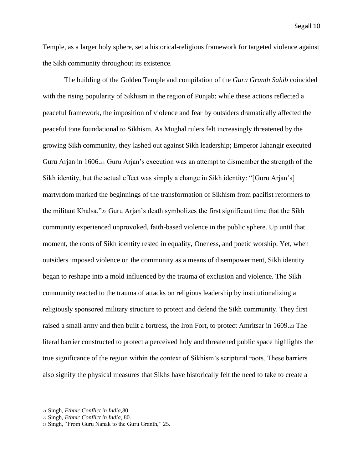Temple, as a larger holy sphere, set a historical-religious framework for targeted violence against the Sikh community throughout its existence.

The building of the Golden Temple and compilation of the *Guru Granth Sahib* coincided with the rising popularity of Sikhism in the region of Punjab; while these actions reflected a peaceful framework, the imposition of violence and fear by outsiders dramatically affected the peaceful tone foundational to Sikhism. As Mughal rulers felt increasingly threatened by the growing Sikh community, they lashed out against Sikh leadership; Emperor Jahangir executed Guru Arjan in 1606.<sup>21</sup> Guru Arjan's execution was an attempt to dismember the strength of the Sikh identity, but the actual effect was simply a change in Sikh identity: "[Guru Arjan's] martyrdom marked the beginnings of the transformation of Sikhism from pacifist reformers to the militant Khalsa."<sup>22</sup> Guru Arjan's death symbolizes the first significant time that the Sikh community experienced unprovoked, faith-based violence in the public sphere. Up until that moment, the roots of Sikh identity rested in equality, Oneness, and poetic worship. Yet, when outsiders imposed violence on the community as a means of disempowerment, Sikh identity began to reshape into a mold influenced by the trauma of exclusion and violence. The Sikh community reacted to the trauma of attacks on religious leadership by institutionalizing a religiously sponsored military structure to protect and defend the Sikh community. They first raised a small army and then built a fortress, the Iron Fort, to protect Amritsar in 1609.<sup>23</sup> The literal barrier constructed to protect a perceived holy and threatened public space highlights the true significance of the region within the context of Sikhism's scriptural roots. These barriers also signify the physical measures that Sikhs have historically felt the need to take to create a

<sup>21</sup> Singh, *Ethnic Conflict in India,*80.

<sup>22</sup> Singh, *Ethnic Conflict in India*, 80.

<sup>23</sup> Singh, "From Guru Nanak to the Guru Granth," 25.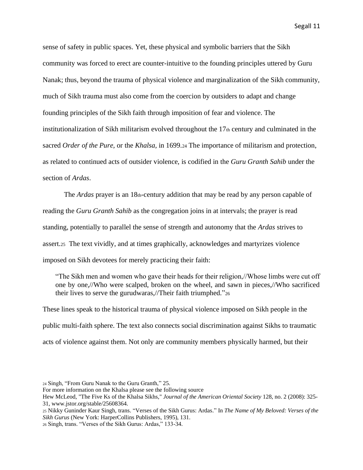sense of safety in public spaces. Yet, these physical and symbolic barriers that the Sikh community was forced to erect are counter-intuitive to the founding principles uttered by Guru Nanak; thus, beyond the trauma of physical violence and marginalization of the Sikh community, much of Sikh trauma must also come from the coercion by outsiders to adapt and change founding principles of the Sikh faith through imposition of fear and violence. The institutionalization of Sikh militarism evolved throughout the 17th century and culminated in the sacred *Order of the Pure,* or the *Khalsa,* in 1699.<sup>24</sup> The importance of militarism and protection, as related to continued acts of outsider violence, is codified in the *Guru Granth Sahib* under the section of *Ardas*.

The *Ardas* prayer is an 18th-century addition that may be read by any person capable of reading the *Guru Granth Sahib* as the congregation joins in at intervals; the prayer is read standing, potentially to parallel the sense of strength and autonomy that the *Ardas* strives to assert.25 The text vividly, and at times graphically, acknowledges and martyrizes violence imposed on Sikh devotees for merely practicing their faith:

"The Sikh men and women who gave their heads for their religion,//Whose limbs were cut off one by one,//Who were scalped, broken on the wheel, and sawn in pieces,//Who sacrificed their lives to serve the gurudwaras,//Their faith triumphed."<sup>26</sup>

These lines speak to the historical trauma of physical violence imposed on Sikh people in the public multi-faith sphere. The text also connects social discrimination against Sikhs to traumatic acts of violence against them. Not only are community members physically harmed, but their

<sup>24</sup> Singh, "From Guru Nanak to the Guru Granth," 25.

For more information on the Khalsa please see the following source

Hew McLeod, "The Five Ks of the Khalsa Sikhs," *Journal of the American Oriental Society* 128, no. 2 (2008): 325- 31, www.jstor.org/stable/25608364.

<sup>25</sup> Nikky Guninder Kaur Singh, trans. "Verses of the Sikh Gurus: Ardas." In *The Name of My Beloved: Verses of the Sikh Gurus* (New York: HarperCollins Publishers, 1995), 131.

<sup>26</sup> Singh, trans. "Verses of the Sikh Gurus: Ardas," 133-34.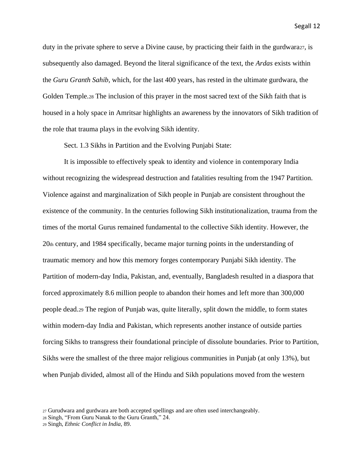duty in the private sphere to serve a Divine cause, by practicing their faith in the gurdwara27, is subsequently also damaged. Beyond the literal significance of the text, the *Ardas* exists within the *Guru Granth Sahib*, which, for the last 400 years, has rested in the ultimate gurdwara, the Golden Temple.<sup>28</sup> The inclusion of this prayer in the most sacred text of the Sikh faith that is housed in a holy space in Amritsar highlights an awareness by the innovators of Sikh tradition of the role that trauma plays in the evolving Sikh identity.

Sect. 1.3 Sikhs in Partition and the Evolving Punjabi State:

It is impossible to effectively speak to identity and violence in contemporary India without recognizing the widespread destruction and fatalities resulting from the 1947 Partition. Violence against and marginalization of Sikh people in Punjab are consistent throughout the existence of the community. In the centuries following Sikh institutionalization, trauma from the times of the mortal Gurus remained fundamental to the collective Sikh identity. However, the 20th century, and 1984 specifically, became major turning points in the understanding of traumatic memory and how this memory forges contemporary Punjabi Sikh identity. The Partition of modern-day India, Pakistan, and, eventually, Bangladesh resulted in a diaspora that forced approximately 8.6 million people to abandon their homes and left more than 300,000 people dead.<sup>29</sup> The region of Punjab was, quite literally, split down the middle, to form states within modern-day India and Pakistan, which represents another instance of outside parties forcing Sikhs to transgress their foundational principle of dissolute boundaries. Prior to Partition, Sikhs were the smallest of the three major religious communities in Punjab (at only 13%), but when Punjab divided, almost all of the Hindu and Sikh populations moved from the western

<sup>27</sup> Gurudwara and gurdwara are both accepted spellings and are often used interchangeably.

<sup>28</sup> Singh, "From Guru Nanak to the Guru Granth," 24.

<sup>29</sup> Singh, *Ethnic Conflict in India,* 89.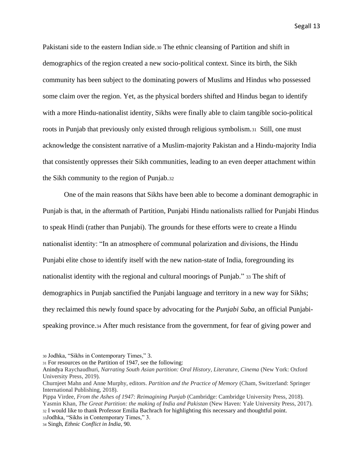Pakistani side to the eastern Indian side.<sup>30</sup> The ethnic cleansing of Partition and shift in demographics of the region created a new socio-political context. Since its birth, the Sikh community has been subject to the dominating powers of Muslims and Hindus who possessed some claim over the region. Yet, as the physical borders shifted and Hindus began to identify with a more Hindu-nationalist identity, Sikhs were finally able to claim tangible socio-political roots in Punjab that previously only existed through religious symbolism.31 Still, one must acknowledge the consistent narrative of a Muslim-majority Pakistan and a Hindu-majority India that consistently oppresses their Sikh communities, leading to an even deeper attachment within the Sikh community to the region of Punjab.<sup>32</sup>

One of the main reasons that Sikhs have been able to become a dominant demographic in Punjab is that, in the aftermath of Partition, Punjabi Hindu nationalists rallied for Punjabi Hindus to speak Hindi (rather than Punjabi). The grounds for these efforts were to create a Hindu nationalist identity: "In an atmosphere of communal polarization and divisions, the Hindu Punjabi elite chose to identify itself with the new nation-state of India, foregrounding its nationalist identity with the regional and cultural moorings of Punjab." <sup>33</sup> The shift of demographics in Punjab sanctified the Punjabi language and territory in a new way for Sikhs; they reclaimed this newly found space by advocating for the *Punjabi Suba*, an official Punjabispeaking province.<sup>34</sup> After much resistance from the government, for fear of giving power and

<sup>30</sup> Jodhka, "Sikhs in Contemporary Times," 3.

<sup>31</sup> For resources on the Partition of 1947, see the following:

Anindya Raychaudhuri, *Narrating South Asian partition: Oral History, Literature, Cinema* (New York: Oxford University Press, 2019).

Churnjeet Mahn and Anne Murphy, editors. *Partition and the Practice of Memory* (Cham, Switzerland: Springer International Publishing, 2018).

Pippa Virdee, *From the Ashes of 1947: Reimagining Punjab* (Cambridge: Cambridge University Press, 2018). Yasmin Khan, *The Great Partition: the making of India and Pakistan* (New Haven: Yale University Press, 2017). <sup>32</sup> I would like to thank Professor Emilia Bachrach for highlighting this necessary and thoughtful point. <sup>33</sup>Jodhka, "Sikhs in Contemporary Times," 3.

<sup>34</sup> Singh, *Ethnic Conflict in India*, 90.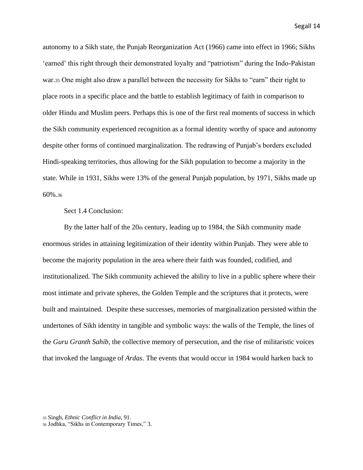autonomy to a Sikh state, the Punjab Reorganization Act (1966) came into effect in 1966; Sikhs 'earned' this right through their demonstrated loyalty and "patriotism" during the Indo-Pakistan war.<sup>35</sup> One might also draw a parallel between the necessity for Sikhs to "earn" their right to place roots in a specific place and the battle to establish legitimacy of faith in comparison to older Hindu and Muslim peers. Perhaps this is one of the first real moments of success in which the Sikh community experienced recognition as a formal identity worthy of space and autonomy despite other forms of continued marginalization. The redrawing of Punjab's borders excluded Hindi-speaking territories, thus allowing for the Sikh population to become a majority in the state. While in 1931, Sikhs were 13% of the general Punjab population, by 1971, Sikhs made up 60%.<sup>36</sup>

#### Sect 1.4 Conclusion:

By the latter half of the 20th century, leading up to 1984, the Sikh community made enormous strides in attaining legitimization of their identity within Punjab. They were able to become the majority population in the area where their faith was founded, codified, and institutionalized. The Sikh community achieved the ability to live in a public sphere where their most intimate and private spheres, the Golden Temple and the scriptures that it protects, were built and maintained. Despite these successes, memories of marginalization persisted within the undertones of Sikh identity in tangible and symbolic ways: the walls of the Temple, the lines of the *Guru Granth Sahib*, the collective memory of persecution, and the rise of militaristic voices that invoked the language of *Ardas*. The events that would occur in 1984 would harken back to

<sup>35</sup> Singh, *Ethnic Conflict in India*, 91.

<sup>36</sup> Jodhka, "Sikhs in Contemporary Times," 3.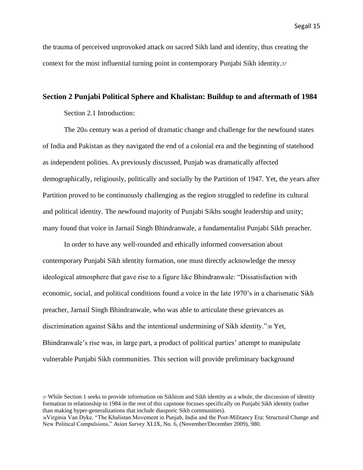the trauma of perceived unprovoked attack on sacred Sikh land and identity, thus creating the context for the most influential turning point in contemporary Punjabi Sikh identity.<sup>37</sup>

#### **Section 2 Punjabi Political Sphere and Khalistan: Buildup to and aftermath of 1984**

Section 2.1 Introduction:

The 20th century was a period of dramatic change and challenge for the newfound states of India and Pakistan as they navigated the end of a colonial era and the beginning of statehood as independent polities. As previously discussed, Punjab was dramatically affected demographically, religiously, politically and socially by the Partition of 1947. Yet, the years after Partition proved to be continuously challenging as the region struggled to redefine its cultural and political identity. The newfound majority of Punjabi Sikhs sought leadership and unity; many found that voice in Jarnail Singh Bhindranwale, a fundamentalist Punjabi Sikh preacher.

In order to have any well-rounded and ethically informed conversation about contemporary Punjabi Sikh identity formation, one must directly acknowledge the messy ideological atmosphere that gave rise to a figure like Bhindranwale: "Dissatisfaction with economic, social, and political conditions found a voice in the late 1970's in a charismatic Sikh preacher, Jarnail Singh Bhindranwale, who was able to articulate these grievances as discrimination against Sikhs and the intentional undermining of Sikh identity."<sup>38</sup> Yet, Bhindranwale's rise was, in large part, a product of political parties' attempt to manipulate vulnerable Punjabi Sikh communities. This section will provide preliminary background

<sup>37</sup> While Section 1 seeks to provide information on Sikhism and Sikh identity as a whole, the discussion of identity formation in relationship to 1984 in the rest of this capstone focuses specifically on Punjabi Sikh identity (rather than making hyper-generalizations that include diasporic Sikh communities).

<sup>38</sup>Virginia Van Dyke, "The Khalistan Movement in Punjab, India and the Post-Militancy Era: Structural Change and New Political Compulsions," *Asian Survey* XLIX, No. 6, (November/December 2009), 980.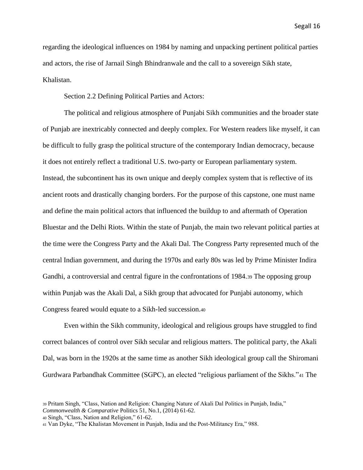regarding the ideological influences on 1984 by naming and unpacking pertinent political parties and actors, the rise of Jarnail Singh Bhindranwale and the call to a sovereign Sikh state, Khalistan.

Section 2.2 Defining Political Parties and Actors:

The political and religious atmosphere of Punjabi Sikh communities and the broader state of Punjab are inextricably connected and deeply complex. For Western readers like myself, it can be difficult to fully grasp the political structure of the contemporary Indian democracy, because it does not entirely reflect a traditional U.S. two-party or European parliamentary system. Instead, the subcontinent has its own unique and deeply complex system that is reflective of its ancient roots and drastically changing borders. For the purpose of this capstone, one must name and define the main political actors that influenced the buildup to and aftermath of Operation Bluestar and the Delhi Riots. Within the state of Punjab, the main two relevant political parties at the time were the Congress Party and the Akali Dal. The Congress Party represented much of the central Indian government, and during the 1970s and early 80s was led by Prime Minister Indira Gandhi, a controversial and central figure in the confrontations of 1984.<sup>39</sup> The opposing group within Punjab was the Akali Dal, a Sikh group that advocated for Punjabi autonomy, which Congress feared would equate to a Sikh-led succession.<sup>40</sup>

Even within the Sikh community, ideological and religious groups have struggled to find correct balances of control over Sikh secular and religious matters. The political party, the Akali Dal, was born in the 1920s at the same time as another Sikh ideological group call the Shiromani Gurdwara Parbandhak Committee (SGPC), an elected "religious parliament of the Sikhs."<sup>41</sup> The

*Commonwealth & Comparative* Politics 51, No.1, (2014) 61-62.

<sup>40</sup> Singh, "Class, Nation and Religion," 61-62.

<sup>39</sup> Pritam Singh, "Class, Nation and Religion: Changing Nature of Akali Dal Politics in Punjab, India,"

<sup>41</sup> Van Dyke, "The Khalistan Movement in Punjab, India and the Post-Militancy Era," 988.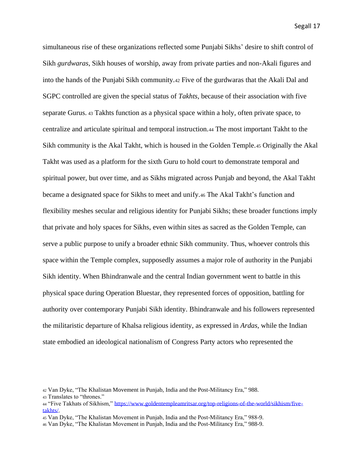simultaneous rise of these organizations reflected some Punjabi Sikhs' desire to shift control of Sikh *gurdwaras*, Sikh houses of worship, away from private parties and non-Akali figures and into the hands of the Punjabi Sikh community.<sup>42</sup> Five of the gurdwaras that the Akali Dal and SGPC controlled are given the special status of *Takhts*, because of their association with five separate Gurus. <sup>43</sup> Takhts function as a physical space within a holy, often private space, to centralize and articulate spiritual and temporal instruction.<sup>44</sup> The most important Takht to the Sikh community is the Akal Takht, which is housed in the Golden Temple.<sup>45</sup> Originally the Akal Takht was used as a platform for the sixth Guru to hold court to demonstrate temporal and spiritual power, but over time, and as Sikhs migrated across Punjab and beyond, the Akal Takht became a designated space for Sikhs to meet and unify.<sup>46</sup> The Akal Takht's function and flexibility meshes secular and religious identity for Punjabi Sikhs; these broader functions imply that private and holy spaces for Sikhs, even within sites as sacred as the Golden Temple, can serve a public purpose to unify a broader ethnic Sikh community. Thus, whoever controls this space within the Temple complex, supposedly assumes a major role of authority in the Punjabi Sikh identity. When Bhindranwale and the central Indian government went to battle in this physical space during Operation Bluestar, they represented forces of opposition, battling for authority over contemporary Punjabi Sikh identity. Bhindranwale and his followers represented the militaristic departure of Khalsa religious identity, as expressed in *Ardas,* while the Indian state embodied an ideological nationalism of Congress Party actors who represented the

<sup>42</sup> Van Dyke, "The Khalistan Movement in Punjab, India and the Post-Militancy Era," 988.

<sup>43</sup> Translates to "thrones."

<sup>44</sup> "Five Takhats of Sikhism," [https://www.goldentempleamritsar.org/top-religions-of-the-world/sikhism/five](https://www.goldentempleamritsar.org/top-religions-of-the-world/sikhism/five-takhts/)[takhts/.](https://www.goldentempleamritsar.org/top-religions-of-the-world/sikhism/five-takhts/)

<sup>45</sup> Van Dyke, "The Khalistan Movement in Punjab, India and the Post-Militancy Era," 988-9.

<sup>46</sup> Van Dyke, "The Khalistan Movement in Punjab, India and the Post-Militancy Era," 988-9.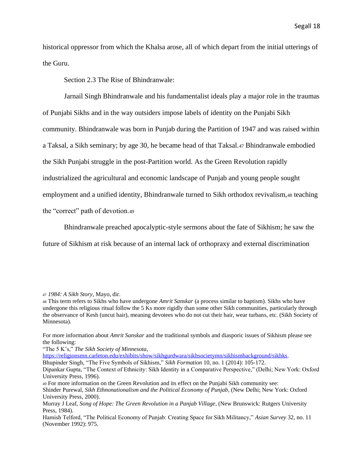historical oppressor from which the Khalsa arose, all of which depart from the initial utterings of the Guru.

Section 2.3 The Rise of Bhindranwale:

Jarnail Singh Bhindranwale and his fundamentalist ideals play a major role in the traumas of Punjabi Sikhs and in the way outsiders impose labels of identity on the Punjabi Sikh community. Bhindranwale was born in Punjab during the Partition of 1947 and was raised within a Taksal, a Sikh seminary; by age 30, he became head of that Taksal.<sup>47</sup> Bhindranwale embodied the Sikh Punjabi struggle in the post-Partition world. As the Green Revolution rapidly industrialized the agricultural and economic landscape of Punjab and young people sought employment and a unified identity, Bhindranwale turned to Sikh orthodox revivalism,<sup>48</sup> teaching the "correct" path of devotion.<sup>49</sup>

Bhindranwale preached apocalyptic-style sermons about the fate of Sikhism; he saw the

future of Sikhism at risk because of an internal lack of orthopraxy and external discrimination

For more information about *Amrit Sanskar* and the traditional symbols and diasporic issues of Sikhism please see the following:

"The 5 K's," *The Sikh Society of Minnesota*,

[https://religionsmn.carleton.edu/exhibits/show/sikhgurdwara/sikhsocietymn/sikhismbackground/sikhks.](https://religionsmn.carleton.edu/exhibits/show/sikhgurdwara/sikhsocietymn/sikhismbackground/sikhks)

Bhupinder Singh, "The Five Symbols of Sikhism," *Sikh Formation* 10, no. 1 (2014): 105-172.

<sup>49</sup> For more information on the Green Revolution and its effect on the Punjabi Sikh community see: Shinder Purewal, *Sikh Ethnonationalism and the Political Economy of Punjab*, (New Delhi; New York: Oxford University Press, 2000).

<sup>47</sup> *1984: A Sikh Story*, Mayo, dir.

<sup>48</sup> This term refers to Sikhs who have undergone *Amrit Sanskar* (a process similar to baptism). Sikhs who have undergone this religious ritual follow the 5 Ks more rigidly than some other Sikh communities, particularly through the observance of Kesh (uncut hair), meaning devotees who do not cut their hair, wear turbans, etc. (Sikh Society of Minnesota).

Dipankar Gupta, "The Context of Ethnicity: Sikh Identity in a Comparative Perspective," (Delhi; New York: Oxford University Press, 1996).

Murray J Leaf, *Song of Hope: The Green Revolution in a Panjab Village*, (New Brunswick: Rutgers University Press, 1984).

Hamish Telford, "The Political Economy of Punjab: Creating Space for Sikh Militancy," *Asian Survey* 32, no. 11 (November 1992): 975.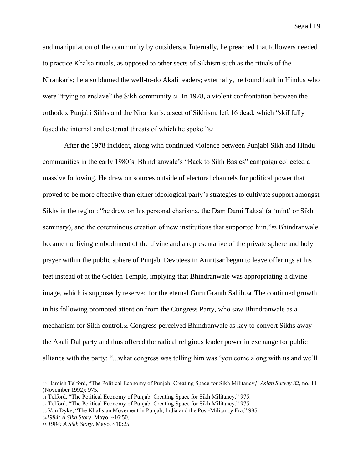and manipulation of the community by outsiders.<sup>50</sup> Internally, he preached that followers needed to practice Khalsa rituals, as opposed to other sects of Sikhism such as the rituals of the Nirankaris; he also blamed the well-to-do Akali leaders; externally, he found fault in Hindus who were "trying to enslave" the Sikh community.<sup>51</sup> In 1978, a violent confrontation between the orthodox Punjabi Sikhs and the Nirankaris, a sect of Sikhism, left 16 dead, which "skillfully fused the internal and external threats of which he spoke."52

After the 1978 incident, along with continued violence between Punjabi Sikh and Hindu communities in the early 1980's, Bhindranwale's "Back to Sikh Basics" campaign collected a massive following. He drew on sources outside of electoral channels for political power that proved to be more effective than either ideological party's strategies to cultivate support amongst Sikhs in the region: "he drew on his personal charisma, the Dam Dami Taksal (a 'mint' or Sikh seminary), and the coterminous creation of new institutions that supported him."53 Bhindranwale became the living embodiment of the divine and a representative of the private sphere and holy prayer within the public sphere of Punjab. Devotees in Amritsar began to leave offerings at his feet instead of at the Golden Temple, implying that Bhindranwale was appropriating a divine image, which is supposedly reserved for the eternal Guru Granth Sahib.<sup>54</sup> The continued growth in his following prompted attention from the Congress Party, who saw Bhindranwale as a mechanism for Sikh control.<sup>55</sup> Congress perceived Bhindranwale as key to convert Sikhs away the Akali Dal party and thus offered the radical religious leader power in exchange for public alliance with the party: "...what congress was telling him was 'you come along with us and we'll

<sup>50</sup> Hamish Telford, "The Political Economy of Punjab: Creating Space for Sikh Militancy," *Asian Survey* 32, no. 11 (November 1992): 975.

<sup>51</sup> Telford, "The Political Economy of Punjab: Creating Space for Sikh Militancy," 975.

<sup>52</sup> Telford, "The Political Economy of Punjab: Creating Space for Sikh Militancy," 975.

<sup>53</sup> Van Dyke, "The Khalistan Movement in Punjab, India and the Post-Militancy Era," 985.

<sup>54</sup>*1984: A Sikh Story*, Mayo, ~16:50.

<sup>55</sup> *1984: A Sikh Story,* Mayo, ~10:25.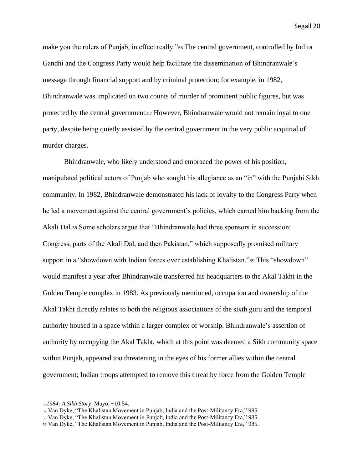make you the rulers of Punjab, in effect really."<sup>56</sup> The central government, controlled by Indira Gandhi and the Congress Party would help facilitate the dissemination of Bhindranwale's message through financial support and by criminal protection; for example, in 1982, Bhindranwale was implicated on two counts of murder of prominent public figures, but was protected by the central government.<sup>57</sup> However, Bhindranwale would not remain loyal to one party, despite being quietly assisted by the central government in the very public acquittal of murder charges.

Bhindranwale, who likely understood and embraced the power of his position, manipulated political actors of Punjab who sought his allegiance as an "in" with the Punjabi Sikh community. In 1982, Bhindranwale demonstrated his lack of loyalty to the Congress Party when he led a movement against the central government's policies, which earned him backing from the Akali Dal.<sup>58</sup> Some scholars argue that "Bhindranwale had three sponsors in succession: Congress, parts of the Akali Dal, and then Pakistan," which supposedly promised military support in a "showdown with Indian forces over establishing Khalistan."<sup>59</sup> This "showdown" would manifest a year after Bhindranwale transferred his headquarters to the Akal Takht in the Golden Temple complex in 1983. As previously mentioned, occupation and ownership of the Akal Takht directly relates to both the religious associations of the sixth guru and the temporal authority housed in a space within a larger complex of worship. Bhindranwale's assertion of authority by occupying the Akal Takht, which at this point was deemed a Sikh community space within Punjab, appeared too threatening in the eyes of his former allies within the central government; Indian troops attempted to remove this threat by force from the Golden Temple

<sup>56</sup>*1984: A Sikh Story*, Mayo, ~10:54.

<sup>57</sup> Van Dyke, "The Khalistan Movement in Punjab, India and the Post-Militancy Era," 985.

<sup>58</sup> Van Dyke, "The Khalistan Movement in Punjab, India and the Post-Militancy Era," 985.

<sup>59</sup> Van Dyke, "The Khalistan Movement in Punjab, India and the Post-Militancy Era," 985.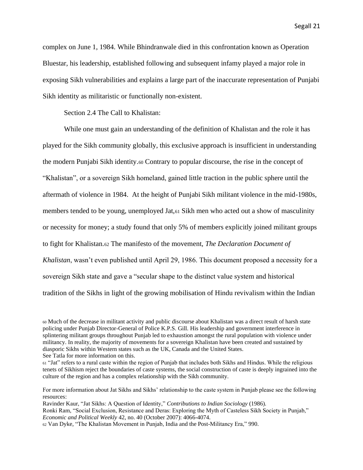complex on June 1, 1984. While Bhindranwale died in this confrontation known as Operation Bluestar, his leadership, established following and subsequent infamy played a major role in exposing Sikh vulnerabilities and explains a large part of the inaccurate representation of Punjabi Sikh identity as militaristic or functionally non-existent.

Section 2.4 The Call to Khalistan:

While one must gain an understanding of the definition of Khalistan and the role it has played for the Sikh community globally, this exclusive approach is insufficient in understanding the modern Punjabi Sikh identity.<sup>60</sup> Contrary to popular discourse, the rise in the concept of "Khalistan", or a sovereign Sikh homeland, gained little traction in the public sphere until the aftermath of violence in 1984. At the height of Punjabi Sikh militant violence in the mid-1980s, members tended to be young, unemployed Jat,<sup>61</sup> Sikh men who acted out a show of masculinity or necessity for money; a study found that only 5% of members explicitly joined militant groups to fight for Khalistan.<sup>62</sup> The manifesto of the movement, *The Declaration Document of Khalistan*, wasn't even published until April 29, 1986. This document proposed a necessity for a sovereign Sikh state and gave a "secular shape to the distinct value system and historical tradition of the Sikhs in light of the growing mobilisation of Hindu revivalism within the Indian

<sup>60</sup> Much of the decrease in militant activity and public discourse about Khalistan was a direct result of harsh state policing under Punjab Director-General of Police K.P.S. Gill. His leadership and government interference in splintering militant groups throughout Punjab led to exhaustion amongst the rural population with violence under militancy. In reality, the majority of movements for a sovereign Khalistan have been created and sustained by diasporic Sikhs within Western states such as the UK, Canada and the United States.

See Tatla for more information on this.

<sup>61</sup> "Jat" refers to a rural caste within the region of Punjab that includes both Sikhs and Hindus. While the religious tenets of Sikhism reject the boundaries of caste systems, the social construction of caste is deeply ingrained into the culture of the region and has a complex relationship with the Sikh community.

For more information about Jat Sikhs and Sikhs' relationship to the caste system in Punjab please see the following resources:

Ravinder Kaur, "Jat Sikhs: A Question of Identity," *Contributions to Indian Sociology* (1986). Ronki Ram, "Social Exclusion, Resistance and Deras: Exploring the Myth of Casteless Sikh Society in Punjab," *Economic and Political Weekly* 42, no. 40 (October 2007): 4066-4074.

<sup>62</sup> Van Dyke, "The Khalistan Movement in Punjab, India and the Post-Militancy Era," 990.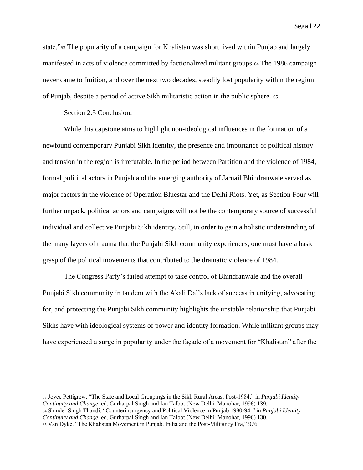state."<sup>63</sup> The popularity of a campaign for Khalistan was short lived within Punjab and largely manifested in acts of violence committed by factionalized militant groups.<sup>64</sup> The 1986 campaign never came to fruition, and over the next two decades, steadily lost popularity within the region of Punjab, despite a period of active Sikh militaristic action in the public sphere. <sup>65</sup>

Section 2.5 Conclusion:

While this capstone aims to highlight non-ideological influences in the formation of a newfound contemporary Punjabi Sikh identity, the presence and importance of political history and tension in the region is irrefutable. In the period between Partition and the violence of 1984, formal political actors in Punjab and the emerging authority of Jarnail Bhindranwale served as major factors in the violence of Operation Bluestar and the Delhi Riots. Yet, as Section Four will further unpack, political actors and campaigns will not be the contemporary source of successful individual and collective Punjabi Sikh identity. Still, in order to gain a holistic understanding of the many layers of trauma that the Punjabi Sikh community experiences, one must have a basic grasp of the political movements that contributed to the dramatic violence of 1984.

The Congress Party's failed attempt to take control of Bhindranwale and the overall Punjabi Sikh community in tandem with the Akali Dal's lack of success in unifying, advocating for, and protecting the Punjabi Sikh community highlights the unstable relationship that Punjabi Sikhs have with ideological systems of power and identity formation. While militant groups may have experienced a surge in popularity under the façade of a movement for "Khalistan" after the

<sup>63</sup> Joyce Pettigrew, "The State and Local Groupings in the Sikh Rural Areas, Post-1984," in *Punjabi Identity Continuity and Change*, ed. Gurharpal Singh and Ian Talbot (New Delhi: Manohar, 1996) 139. <sup>64</sup> Shinder Singh Thandi, "Counterinsurgency and Political Violence in Punjab 1980-94,*"* in *Punjabi Identity Continuity and Change*, ed. Gurharpal Singh and Ian Talbot (New Delhi: Manohar, 1996) 130. <sup>65</sup> Van Dyke, "The Khalistan Movement in Punjab, India and the Post-Militancy Era," 976.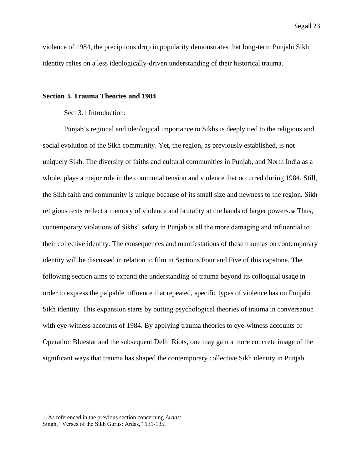violence of 1984, the precipitous drop in popularity demonstrates that long-term Punjabi Sikh identity relies on a less ideologically-driven understanding of their historical trauma.

#### **Section 3. Trauma Theories and 1984**

Sect 3.1 Introduction:

Punjab's regional and ideological importance to Sikhs is deeply tied to the religious and social evolution of the Sikh community. Yet, the region, as previously established, is not uniquely Sikh. The diversity of faiths and cultural communities in Punjab, and North India as a whole, plays a major role in the communal tension and violence that occurred during 1984. Still, the Sikh faith and community is unique because of its small size and newness to the region. Sikh religious texts reflect a memory of violence and brutality at the hands of larger powers.<sup>66</sup> Thus, contemporary violations of Sikhs' safety in Punjab is all the more damaging and influential to their collective identity. The consequences and manifestations of these traumas on contemporary identity will be discussed in relation to film in Sections Four and Five of this capstone. The following section aims to expand the understanding of trauma beyond its colloquial usage in order to express the palpable influence that repeated, specific types of violence has on Punjabi Sikh identity. This expansion starts by putting psychological theories of trauma in conversation with eye-witness accounts of 1984. By applying trauma theories to eye-witness accounts of Operation Bluestar and the subsequent Delhi Riots, one may gain a more concrete image of the significant ways that trauma has shaped the contemporary collective Sikh identity in Punjab.

<sup>66</sup> As referenced in the previous section concerning *Ardas*: Singh, "Verses of the Sikh Gurus: Ardas," 131-135.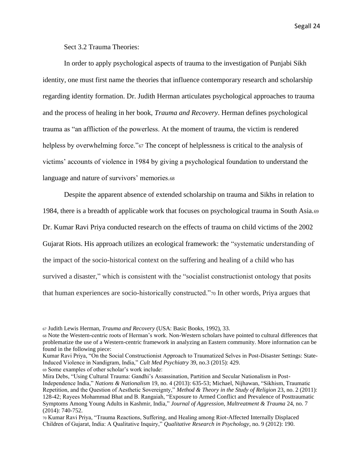Sect 3.2 Trauma Theories:

In order to apply psychological aspects of trauma to the investigation of Punjabi Sikh identity, one must first name the theories that influence contemporary research and scholarship regarding identity formation. Dr. Judith Herman articulates psychological approaches to trauma and the process of healing in her book, *Trauma and Recovery*. Herman defines psychological trauma as "an affliction of the powerless. At the moment of trauma, the victim is rendered helpless by overwhelming force."<sup>67</sup> The concept of helplessness is critical to the analysis of victims' accounts of violence in 1984 by giving a psychological foundation to understand the language and nature of survivors' memories.<sup>68</sup>

Despite the apparent absence of extended scholarship on trauma and Sikhs in relation to 1984, there is a breadth of applicable work that focuses on psychological trauma in South Asia.<sup>69</sup> Dr. Kumar Ravi Priya conducted research on the effects of trauma on child victims of the 2002 Gujarat Riots. His approach utilizes an ecological framework: the "systematic understanding of the impact of the socio-historical context on the suffering and healing of a child who has survived a disaster," which is consistent with the "socialist constructionist ontology that posits that human experiences are socio-historically constructed."<sup>70</sup> In other words, Priya argues that

Kumar Ravi Priya, "On the Social Constructionist Approach to Traumatized Selves in Post-Disaster Settings: State-Induced Violence in Nandigram, India," *Cult Med Psychiatry* 39, no.3 (2015): 429.

<sup>69</sup> Some examples of other scholar's work include:

<sup>67</sup> Judith Lewis Herman, *Trauma and Recovery* (USA: Basic Books, 1992), 33.

<sup>68</sup> Note the Western-centric roots of Herman's work. Non-Western scholars have pointed to cultural differences that problematize the use of a Western-centric framework in analyzing an Eastern community. More information can be found in the following piece:

Mira Debs, "Using Cultural Trauma: Gandhi's Assassination, Partition and Secular Nationalism in Post-Independence India," *Nations & Nationalism* 19, no. 4 (2013): 635-53; Michael, Nijhawan, "Sikhism, Traumatic Repetition, and the Question of Aesthetic Sovereignty," *Method & Theory in the Study of Religion* 23, no. 2 (2011): 128-42; Rayees Mohammad Bhat and B. Rangaiah, "Exposure to Armed Conflict and Prevalence of Posttraumatic Symptoms Among Young Adults in Kashmir, India," *Journal of Aggression, Maltreatment & Trauma* 24, no. 7 (2014): 740-752.

<sup>70</sup> Kumar Ravi Priya, "Trauma Reactions, Suffering, and Healing among Riot-Affected Internally Displaced Children of Gujarat, India: A Qualitative Inquiry," *Qualitative Research in Psychology*, no. 9 (2012): 190.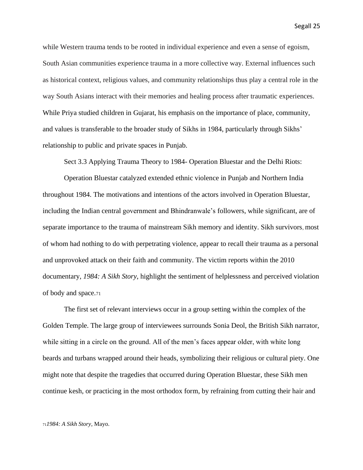while Western trauma tends to be rooted in individual experience and even a sense of egoism, South Asian communities experience trauma in a more collective way. External influences such as historical context, religious values, and community relationships thus play a central role in the way South Asians interact with their memories and healing process after traumatic experiences. While Priya studied children in Gujarat, his emphasis on the importance of place, community, and values is transferable to the broader study of Sikhs in 1984, particularly through Sikhs' relationship to public and private spaces in Punjab.

Sect 3.3 Applying Trauma Theory to 1984- Operation Bluestar and the Delhi Riots:

Operation Bluestar catalyzed extended ethnic violence in Punjab and Northern India throughout 1984. The motivations and intentions of the actors involved in Operation Bluestar, including the Indian central government and Bhindranwale's followers, while significant, are of separate importance to the trauma of mainstream Sikh memory and identity. Sikh survivors, most of whom had nothing to do with perpetrating violence, appear to recall their trauma as a personal and unprovoked attack on their faith and community. The victim reports within the 2010 documentary, *1984: A Sikh Story*, highlight the sentiment of helplessness and perceived violation of body and space.<sup>71</sup>

The first set of relevant interviews occur in a group setting within the complex of the Golden Temple. The large group of interviewees surrounds Sonia Deol, the British Sikh narrator, while sitting in a circle on the ground. All of the men's faces appear older, with white long beards and turbans wrapped around their heads, symbolizing their religious or cultural piety. One might note that despite the tragedies that occurred during Operation Bluestar, these Sikh men continue kesh, or practicing in the most orthodox form, by refraining from cutting their hair and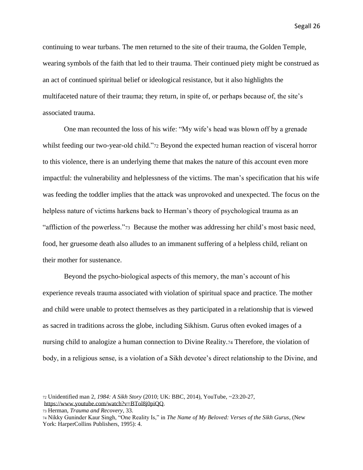continuing to wear turbans. The men returned to the site of their trauma, the Golden Temple, wearing symbols of the faith that led to their trauma. Their continued piety might be construed as an act of continued spiritual belief or ideological resistance, but it also highlights the multifaceted nature of their trauma; they return, in spite of, or perhaps because of, the site's associated trauma.

One man recounted the loss of his wife: "My wife's head was blown off by a grenade whilst feeding our two-year-old child."<sup>72</sup> Beyond the expected human reaction of visceral horror to this violence, there is an underlying theme that makes the nature of this account even more impactful: the vulnerability and helplessness of the victims. The man's specification that his wife was feeding the toddler implies that the attack was unprovoked and unexpected. The focus on the helpless nature of victims harkens back to Herman's theory of psychological trauma as an "affliction of the powerless."73 Because the mother was addressing her child's most basic need, food, her gruesome death also alludes to an immanent suffering of a helpless child, reliant on their mother for sustenance.

Beyond the psycho-biological aspects of this memory, the man's account of his experience reveals trauma associated with violation of spiritual space and practice. The mother and child were unable to protect themselves as they participated in a relationship that is viewed as sacred in traditions across the globe, including Sikhism. Gurus often evoked images of a nursing child to analogize a human connection to Divine Reality.<sup>74</sup> Therefore, the violation of body, in a religious sense, is a violation of a Sikh devotee's direct relationship to the Divine, and

<sup>72</sup> Unidentified man 2, *1984: A Sikh Story* (2010; UK: BBC, 2014), YouTube, ~23:20-27, [https://www.youtube.com/watch?v=BTol8j0piQQ.](https://www.youtube.com/watch?v=BTol8j0piQQ)

<sup>73</sup> Herman, *Trauma and Recovery,* 33.

<sup>74</sup> Nikky Guninder Kaur Singh, "One Reality Is," in *The Name of My Beloved: Verses of the Sikh Gurus*, (New York: HarperCollins Publishers, 1995): 4.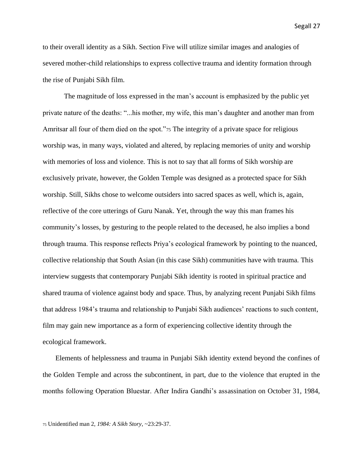to their overall identity as a Sikh. Section Five will utilize similar images and analogies of severed mother-child relationships to express collective trauma and identity formation through the rise of Punjabi Sikh film.

The magnitude of loss expressed in the man's account is emphasized by the public yet private nature of the deaths: "...his mother, my wife, this man's daughter and another man from Amritsar all four of them died on the spot."<sup>75</sup> The integrity of a private space for religious worship was, in many ways, violated and altered, by replacing memories of unity and worship with memories of loss and violence. This is not to say that all forms of Sikh worship are exclusively private, however, the Golden Temple was designed as a protected space for Sikh worship. Still, Sikhs chose to welcome outsiders into sacred spaces as well, which is, again, reflective of the core utterings of Guru Nanak. Yet, through the way this man frames his community's losses, by gesturing to the people related to the deceased, he also implies a bond through trauma. This response reflects Priya's ecological framework by pointing to the nuanced, collective relationship that South Asian (in this case Sikh) communities have with trauma. This interview suggests that contemporary Punjabi Sikh identity is rooted in spiritual practice and shared trauma of violence against body and space. Thus, by analyzing recent Punjabi Sikh films that address 1984's trauma and relationship to Punjabi Sikh audiences' reactions to such content, film may gain new importance as a form of experiencing collective identity through the ecological framework.

Elements of helplessness and trauma in Punjabi Sikh identity extend beyond the confines of the Golden Temple and across the subcontinent, in part, due to the violence that erupted in the months following Operation Bluestar. After Indira Gandhi's assassination on October 31, 1984,

<sup>75</sup> Unidentified man 2, *1984: A Sikh Story*, ~23:29-37.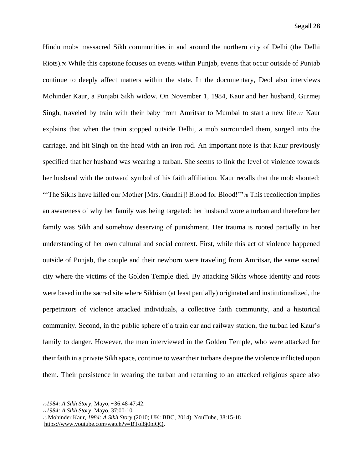Hindu mobs massacred Sikh communities in and around the northern city of Delhi (the Delhi Riots).<sup>76</sup> While this capstone focuses on events within Punjab, events that occur outside of Punjab continue to deeply affect matters within the state. In the documentary, Deol also interviews Mohinder Kaur, a Punjabi Sikh widow. On November 1, 1984, Kaur and her husband, Gurmej Singh, traveled by train with their baby from Amritsar to Mumbai to start a new life.<sup>77</sup> Kaur explains that when the train stopped outside Delhi, a mob surrounded them, surged into the carriage, and hit Singh on the head with an iron rod. An important note is that Kaur previously specified that her husband was wearing a turban. She seems to link the level of violence towards her husband with the outward symbol of his faith affiliation. Kaur recalls that the mob shouted: "The Sikhs have killed our Mother [Mrs. Gandhi]! Blood for Blood!""78 This recollection implies an awareness of why her family was being targeted: her husband wore a turban and therefore her family was Sikh and somehow deserving of punishment. Her trauma is rooted partially in her understanding of her own cultural and social context. First, while this act of violence happened outside of Punjab, the couple and their newborn were traveling from Amritsar, the same sacred city where the victims of the Golden Temple died. By attacking Sikhs whose identity and roots were based in the sacred site where Sikhism (at least partially) originated and institutionalized, the perpetrators of violence attacked individuals, a collective faith community, and a historical community. Second, in the public sphere of a train car and railway station, the turban led Kaur's family to danger. However, the men interviewed in the Golden Temple, who were attacked for their faith in a private Sikh space, continue to wear their turbans despite the violence inflicted upon them. Their persistence in wearing the turban and returning to an attacked religious space also

<sup>77</sup>*1984: A Sikh Story*, Mayo, 37:00-10.

[https://www.youtube.com/watch?v=BTol8j0piQQ.](https://www.youtube.com/watch?v=BTol8j0piQQ)

<sup>76</sup>*1984: A Sikh Story*, Mayo, ~36:48-47:42.

<sup>78</sup> Mohinder Kaur, *1984: A Sikh Story* (2010; UK: BBC, 2014), YouTube, 38:15-18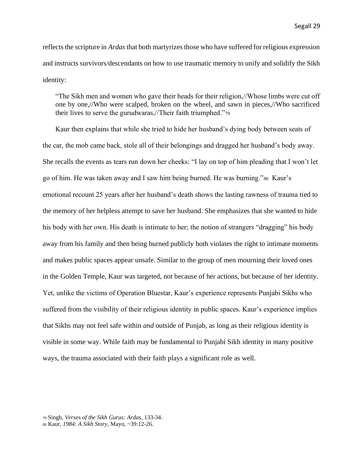reflects the scripture in *Ardas* that both martyrizes those who have suffered for religious expression and instructs survivors/descendants on how to use traumatic memory to unify and solidify the Sikh identity:

"The Sikh men and women who gave their heads for their religion,//Whose limbs were cut off one by one,//Who were scalped, broken on the wheel, and sawn in pieces,//Who sacrificed their lives to serve the gurudwaras,//Their faith triumphed."<sup>79</sup>

Kaur then explains that while she tried to hide her husband's dying body between seats of the car, the mob came back, stole all of their belongings and dragged her husband's body away. She recalls the events as tears run down her cheeks: "I lay on top of him pleading that I won't let go of him. He was taken away and I saw him being burned. He was burning."80 Kaur's emotional recount 25 years after her husband's death shows the lasting rawness of trauma tied to the memory of her helpless attempt to save her husband. She emphasizes that she wanted to hide his body with her own. His death is intimate to her; the notion of strangers "dragging" his body away from his family and then being burned publicly both violates the right to intimate moments and makes public spaces appear unsafe. Similar to the group of men mourning their loved ones in the Golden Temple, Kaur was targeted, not because of her actions, but because of her identity. Yet, unlike the victims of Operation Bluestar, Kaur's experience represents Punjabi Sikhs who suffered from the visibility of their religious identity in public spaces. Kaur's experience implies that Sikhs may not feel safe within *and* outside of Punjab, as long as their religious identity is visible in some way. While faith may be fundamental to Punjabi Sikh identity in many positive ways, the trauma associated with their faith plays a significant role as well.

<sup>79</sup> Singh, *Verses of the Sikh Gurus: Ardas*, 133-34.

<sup>80</sup> Kaur, *1984: A Sikh Story*, Mayo, ~39:12-26.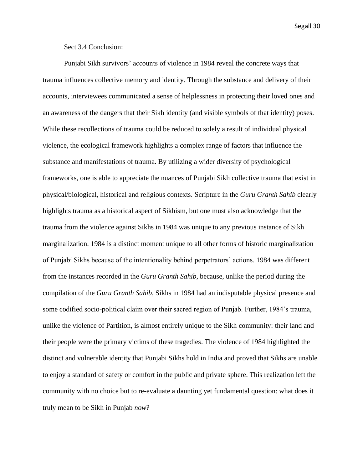Sect 3.4 Conclusion:

Punjabi Sikh survivors' accounts of violence in 1984 reveal the concrete ways that trauma influences collective memory and identity. Through the substance and delivery of their accounts, interviewees communicated a sense of helplessness in protecting their loved ones and an awareness of the dangers that their Sikh identity (and visible symbols of that identity) poses. While these recollections of trauma could be reduced to solely a result of individual physical violence, the ecological framework highlights a complex range of factors that influence the substance and manifestations of trauma. By utilizing a wider diversity of psychological frameworks, one is able to appreciate the nuances of Punjabi Sikh collective trauma that exist in physical/biological, historical and religious contexts. Scripture in the *Guru Granth Sahib* clearly highlights trauma as a historical aspect of Sikhism, but one must also acknowledge that the trauma from the violence against Sikhs in 1984 was unique to any previous instance of Sikh marginalization. 1984 is a distinct moment unique to all other forms of historic marginalization of Punjabi Sikhs because of the intentionality behind perpetrators' actions. 1984 was different from the instances recorded in the *Guru Granth Sahib*, because, unlike the period during the compilation of the *Guru Granth Sahib*, Sikhs in 1984 had an indisputable physical presence and some codified socio-political claim over their sacred region of Punjab. Further, 1984's trauma, unlike the violence of Partition, is almost entirely unique to the Sikh community: their land and their people were the primary victims of these tragedies. The violence of 1984 highlighted the distinct and vulnerable identity that Punjabi Sikhs hold in India and proved that Sikhs are unable to enjoy a standard of safety or comfort in the public and private sphere. This realization left the community with no choice but to re-evaluate a daunting yet fundamental question: what does it truly mean to be Sikh in Punjab *now*?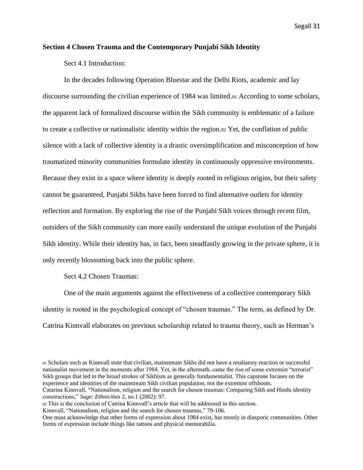#### **Section 4 Chosen Trauma and the Contemporary Punjabi Sikh Identity**

Sect 4.1 Introduction:

In the decades following Operation Bluestar and the Delhi Riots, academic and lay discourse surrounding the civilian experience of 1984 was limited.<sup>81</sup> According to some scholars, the apparent lack of formalized discourse within the Sikh community is emblematic of a failure to create a collective or nationalistic identity within the region.<sup>82</sup> Yet, the conflation of public silence with a lack of collective identity is a drastic oversimplification and misconception of how traumatized minority communities formulate identity in continuously oppressive environments. Because they exist in a space where identity is deeply rooted in religious origins, but their safety cannot be guaranteed, Punjabi Sikhs have been forced to find alternative outlets for identity reflection and formation. By exploring the rise of the Punjabi Sikh voices through recent film, outsiders of the Sikh community can more easily understand the unique evolution of the Punjabi Sikh identity. While their identity has, in fact, been steadfastly growing in the private sphere, it is only recently blossoming back into the public sphere.

Sect 4.2 Chosen Traumas:

One of the main arguments against the effectiveness of a collective contemporary Sikh identity is rooted in the psychological concept of "chosen traumas." The term, as defined by Dr. Catrina Kinnvall elaborates on previous scholarship related to trauma theory, such as Herman's

<sup>81</sup> Scholars such as Kinnvall state that civilian, mainstream Sikhs did not have a retaliatory reaction or successful nationalist movement in the moments after 1984. Yet, in the aftermath, came the rise of some extremist "terrorist" Sikh groups that led to the broad strokes of Sikhism as generally fundamentalist. This capstone focuses on the experience and identities of the mainstream Sikh civilian population, not the extremist offshoots. Catarina Kinnvall, "Nationalism, religion and the search for chosen traumas: Comparing Sikh and Hindu identity

constructions," *Sage: Ethnicities* 2, no.1 (2002): 97.

<sup>82</sup> This is the conclusion of Catrina Kinnvall's article that will be addressed in this section.

Kinnvall, "Nationalism, religion and the search for chosen traumas," 79-106.

One must acknowledge that other forms of expression about 1984 exist, but mostly in diasporic communities. Other forms of expression include things like tattoos and physical memorabilia.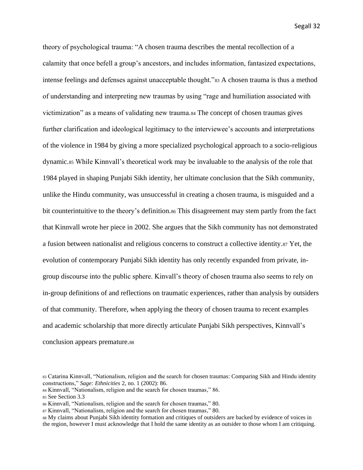theory of psychological trauma: "A chosen trauma describes the mental recollection of a calamity that once befell a group's ancestors, and includes information, fantasized expectations, intense feelings and defenses against unacceptable thought."<sup>83</sup> A chosen trauma is thus a method of understanding and interpreting new traumas by using "rage and humiliation associated with victimization" as a means of validating new trauma.<sup>84</sup> The concept of chosen traumas gives further clarification and ideological legitimacy to the interviewee's accounts and interpretations of the violence in 1984 by giving a more specialized psychological approach to a socio-religious dynamic.<sup>85</sup> While Kinnvall's theoretical work may be invaluable to the analysis of the role that 1984 played in shaping Punjabi Sikh identity, her ultimate conclusion that the Sikh community, unlike the Hindu community, was unsuccessful in creating a chosen trauma, is misguided and a bit counterintuitive to the theory's definition.<sup>86</sup> This disagreement may stem partly from the fact that Kinnvall wrote her piece in 2002. She argues that the Sikh community has not demonstrated a fusion between nationalist and religious concerns to construct a collective identity.<sup>87</sup> Yet, the evolution of contemporary Punjabi Sikh identity has only recently expanded from private, ingroup discourse into the public sphere. Kinvall's theory of chosen trauma also seems to rely on in-group definitions of and reflections on traumatic experiences, rather than analysis by outsiders of that community. Therefore, when applying the theory of chosen trauma to recent examples and academic scholarship that more directly articulate Punjabi Sikh perspectives, Kinnvall's conclusion appears premature.<sup>88</sup>

<sup>83</sup> Catarina Kinnvall, "Nationalism, religion and the search for chosen traumas: Comparing Sikh and Hindu identity constructions," *Sage: Ethnicities* 2, no. 1 (2002): 86.

<sup>84</sup> Kinnvall, "Nationalism, religion and the search for chosen traumas," 86.

<sup>85</sup> See Section 3.3

<sup>86</sup> Kinnvall, "Nationalism, religion and the search for chosen traumas," 80.

<sup>87</sup> Kinnvall, "Nationalism, religion and the search for chosen traumas," 80.

<sup>88</sup> My claims about Punjabi Sikh identity formation and critiques of outsiders are backed by evidence of voices in the region, however I must acknowledge that I hold the same identity as an outsider to those whom I am critiquing.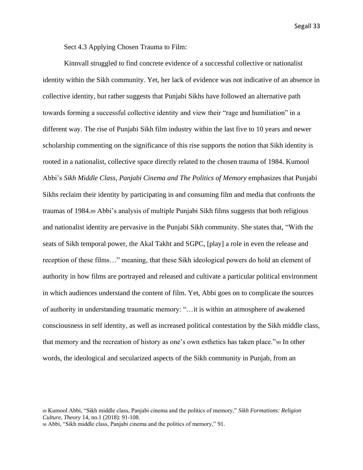Sect 4.3 Applying Chosen Trauma to Film:

Kinnvall struggled to find concrete evidence of a successful collective or nationalist identity within the Sikh community. Yet, her lack of evidence was not indicative of an absence in collective identity, but rather suggests that Punjabi Sikhs have followed an alternative path towards forming a successful collective identity and view their "rage and humiliation" in a different way. The rise of Punjabi Sikh film industry within the last five to 10 years and newer scholarship commenting on the significance of this rise supports the notion that Sikh identity is rooted in a nationalist, collective space directly related to the chosen trauma of 1984. Kumool Abbi's *Sikh Middle Class, Panjabi Cinema and The Politics of Memory* emphasizes that Punjabi Sikhs reclaim their identity by participating in and consuming film and media that confronts the traumas of 1984.<sup>89</sup> Abbi's analysis of multiple Punjabi Sikh films suggests that both religious and nationalist identity are pervasive in the Punjabi Sikh community. She states that, "With the seats of Sikh temporal power, the Akal Takht and SGPC, [play] a role in even the release and reception of these films…" meaning, that these Sikh ideological powers do hold an element of authority in how films are portrayed and released and cultivate a particular political environment in which audiences understand the content of film. Yet, Abbi goes on to complicate the sources of authority in understanding traumatic memory: "…it is within an atmosphere of awakened consciousness in self identity, as well as increased political contestation by the Sikh middle class, that memory and the recreation of history as one's own esthetics has taken place."<sup>90</sup> In other words, the ideological and secularized aspects of the Sikh community in Punjab, from an

<sup>89</sup> Kumool Abbi, "Sikh middle class, Panjabi cinema and the politics of memory," *Sikh Formations: Religion Culture, Theory* 14, no.1 (2018): 91-108.

<sup>90</sup> Abbi, "Sikh middle class, Panjabi cinema and the politics of memory," 91.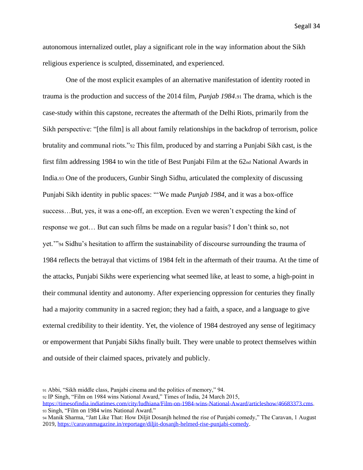autonomous internalized outlet, play a significant role in the way information about the Sikh religious experience is sculpted, disseminated, and experienced.

One of the most explicit examples of an alternative manifestation of identity rooted in trauma is the production and success of the 2014 film, *Punjab 1984*.<sup>91</sup> The drama, which is the case-study within this capstone, recreates the aftermath of the Delhi Riots, primarily from the Sikh perspective: "[the film] is all about family relationships in the backdrop of terrorism, police brutality and communal riots."<sup>92</sup> This film, produced by and starring a Punjabi Sikh cast, is the first film addressing 1984 to win the title of Best Punjabi Film at the  $62<sub>nd</sub>$  National Awards in India.<sup>93</sup> One of the producers, Gunbir Singh Sidhu, articulated the complexity of discussing Punjabi Sikh identity in public spaces: "'We made *Punjab 1984*, and it was a box-office success…But, yes, it was a one-off, an exception. Even we weren't expecting the kind of response we got… But can such films be made on a regular basis? I don't think so, not yet.'"<sup>94</sup> Sidhu's hesitation to affirm the sustainability of discourse surrounding the trauma of 1984 reflects the betrayal that victims of 1984 felt in the aftermath of their trauma. At the time of the attacks, Punjabi Sikhs were experiencing what seemed like, at least to some, a high-point in their communal identity and autonomy. After experiencing oppression for centuries they finally had a majority community in a sacred region; they had a faith, a space, and a language to give external credibility to their identity. Yet, the violence of 1984 destroyed any sense of legitimacy or empowerment that Punjabi Sikhs finally built. They were unable to protect themselves within and outside of their claimed spaces, privately and publicly.

<sup>91</sup> Abbi, "Sikh middle class, Panjabi cinema and the politics of memory," 94.

<sup>92</sup> IP Singh, "Film on 1984 wins National Award," Times of India, 24 March 2015,

[https://timesofindia.indiatimes.com/city/ludhiana/Film-on-1984-wins-National-Award/articleshow/46683373.cms.](https://timesofindia.indiatimes.com/city/ludhiana/Film-on-1984-wins-National-Award/articleshow/46683373.cms) <sup>93</sup> Singh, "Film on 1984 wins National Award."

<sup>94</sup> Manik Sharma, "Jatt Like That: How Diljit Dosanjh helmed the rise of Punjabi comedy," The Caravan, 1 August 2019, [https://caravanmagazine.in/reportage/diljit-dosanjh-helmed-rise-punjabi-comedy.](https://caravanmagazine.in/reportage/diljit-dosanjh-helmed-rise-punjabi-comedy)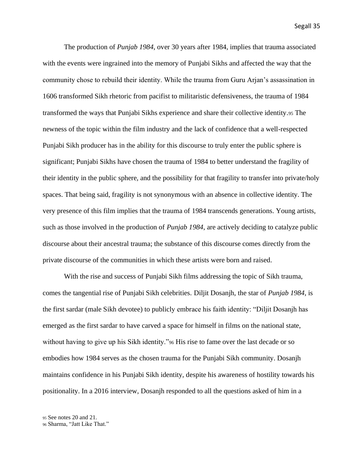The production of *Punjab 1984*, over 30 years after 1984, implies that trauma associated with the events were ingrained into the memory of Punjabi Sikhs and affected the way that the community chose to rebuild their identity. While the trauma from Guru Arjan's assassination in 1606 transformed Sikh rhetoric from pacifist to militaristic defensiveness, the trauma of 1984 transformed the ways that Punjabi Sikhs experience and share their collective identity.<sup>95</sup> The newness of the topic within the film industry and the lack of confidence that a well-respected Punjabi Sikh producer has in the ability for this discourse to truly enter the public sphere is significant; Punjabi Sikhs have chosen the trauma of 1984 to better understand the fragility of their identity in the public sphere, and the possibility for that fragility to transfer into private/holy spaces. That being said, fragility is not synonymous with an absence in collective identity. The very presence of this film implies that the trauma of 1984 transcends generations. Young artists, such as those involved in the production of *Punjab 1984*, are actively deciding to catalyze public discourse about their ancestral trauma; the substance of this discourse comes directly from the private discourse of the communities in which these artists were born and raised.

With the rise and success of Punjabi Sikh films addressing the topic of Sikh trauma, comes the tangential rise of Punjabi Sikh celebrities. Diljit Dosanjh, the star of *Punjab 1984*, is the first sardar (male Sikh devotee) to publicly embrace his faith identity: "Diljit Dosanjh has emerged as the first sardar to have carved a space for himself in films on the national state, without having to give up his Sikh identity."<sup>96</sup> His rise to fame over the last decade or so embodies how 1984 serves as the chosen trauma for the Punjabi Sikh community. Dosanjh maintains confidence in his Punjabi Sikh identity, despite his awareness of hostility towards his positionality. In a 2016 interview, Dosanjh responded to all the questions asked of him in a

<sup>95</sup> See notes 20 and 21.

<sup>96</sup> Sharma, "Jatt Like That."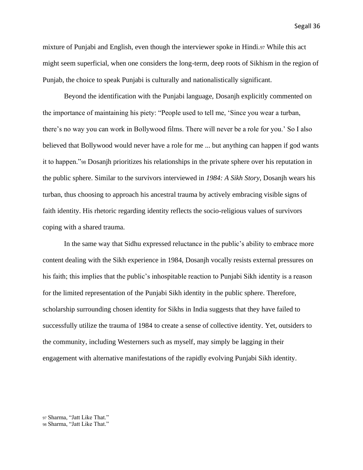mixture of Punjabi and English, even though the interviewer spoke in Hindi.<sup>97</sup> While this act might seem superficial, when one considers the long-term, deep roots of Sikhism in the region of Punjab, the choice to speak Punjabi is culturally and nationalistically significant.

Beyond the identification with the Punjabi language, Dosanjh explicitly commented on the importance of maintaining his piety: "People used to tell me, 'Since you wear a turban, there's no way you can work in Bollywood films. There will never be a role for you.' So I also believed that Bollywood would never have a role for me ... but anything can happen if god wants it to happen."<sup>98</sup> Dosanjh prioritizes his relationships in the private sphere over his reputation in the public sphere. Similar to the survivors interviewed in *1984: A Sikh Story*, Dosanjh wears his turban, thus choosing to approach his ancestral trauma by actively embracing visible signs of faith identity. His rhetoric regarding identity reflects the socio-religious values of survivors coping with a shared trauma.

In the same way that Sidhu expressed reluctance in the public's ability to embrace more content dealing with the Sikh experience in 1984, Dosanjh vocally resists external pressures on his faith; this implies that the public's inhospitable reaction to Punjabi Sikh identity is a reason for the limited representation of the Punjabi Sikh identity in the public sphere. Therefore, scholarship surrounding chosen identity for Sikhs in India suggests that they have failed to successfully utilize the trauma of 1984 to create a sense of collective identity. Yet, outsiders to the community, including Westerners such as myself, may simply be lagging in their engagement with alternative manifestations of the rapidly evolving Punjabi Sikh identity.

<sup>97</sup> Sharma, "Jatt Like That."

<sup>98</sup> Sharma, "Jatt Like That."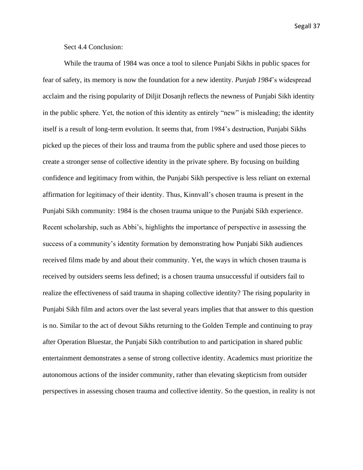Sect 4.4 Conclusion:

While the trauma of 1984 was once a tool to silence Punjabi Sikhs in public spaces for fear of safety, its memory is now the foundation for a new identity. *Punjab 1984*'s widespread acclaim and the rising popularity of Diljit Dosanjh reflects the newness of Punjabi Sikh identity in the public sphere. Yet, the notion of this identity as entirely "new" is misleading; the identity itself is a result of long-term evolution. It seems that, from 1984's destruction, Punjabi Sikhs picked up the pieces of their loss and trauma from the public sphere and used those pieces to create a stronger sense of collective identity in the private sphere. By focusing on building confidence and legitimacy from within, the Punjabi Sikh perspective is less reliant on external affirmation for legitimacy of their identity. Thus, Kinnvall's chosen trauma is present in the Punjabi Sikh community: 1984 is the chosen trauma unique to the Punjabi Sikh experience. Recent scholarship, such as Abbi's, highlights the importance of perspective in assessing the success of a community's identity formation by demonstrating how Punjabi Sikh audiences received films made by and about their community. Yet, the ways in which chosen trauma is received by outsiders seems less defined; is a chosen trauma unsuccessful if outsiders fail to realize the effectiveness of said trauma in shaping collective identity? The rising popularity in Punjabi Sikh film and actors over the last several years implies that that answer to this question is no. Similar to the act of devout Sikhs returning to the Golden Temple and continuing to pray after Operation Bluestar, the Punjabi Sikh contribution to and participation in shared public entertainment demonstrates a sense of strong collective identity. Academics must prioritize the autonomous actions of the insider community, rather than elevating skepticism from outsider perspectives in assessing chosen trauma and collective identity. So the question, in reality is not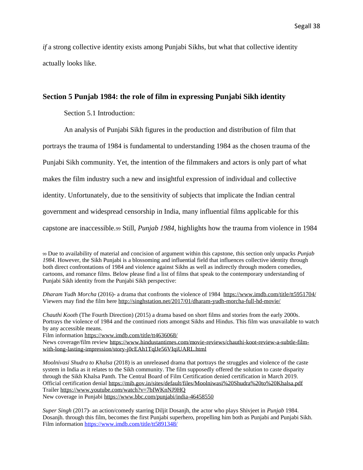*if* a strong collective identity exists among Punjabi Sikhs, but what that collective identity actually looks like.

#### **Section 5 Punjab 1984: the role of film in expressing Punjabi Sikh identity**

Section 5.1 Introduction:

An analysis of Punjabi Sikh figures in the production and distribution of film that portrays the trauma of 1984 is fundamental to understanding 1984 as the chosen trauma of the Punjabi Sikh community. Yet, the intention of the filmmakers and actors is only part of what makes the film industry such a new and insightful expression of individual and collective identity. Unfortunately, due to the sensitivity of subjects that implicate the Indian central government and widespread censorship in India, many influential films applicable for this capstone are inaccessible.<sup>99</sup> Still, *Punjab 1984*, highlights how the trauma from violence in 1984

<sup>99</sup> Due to availability of material and concision of argument within this capstone, this section only unpacks *Punjab 1984*. However, the Sikh Punjabi is a blossoming and influential field that influences collective identity through both direct confrontations of 1984 and violence against Sikhs as well as indirectly through modern comedies, cartoons, and romance films. Below please find a list of films that speak to the contemporary understanding of Punjabi Sikh identity from the Punjabi Sikh perspective:

*Dharam Yudh Morcha* (2016)- a drama that confronts the violence of 1984<https://www.imdb.com/title/tt5951704/> Viewers may find the film her[e http://singhstation.net/2017/01/dharam-yudh-morcha-full-hd-movie/](http://singhstation.net/2017/01/dharam-yudh-morcha-full-hd-movie/)

*Chauthi Kooth* (The Fourth Direction) (2015) a drama based on short films and stories from the early 2000s. Portrays the violence of 1984 and the continued riots amongst Sikhs and Hindus. This film was unavailable to watch by any accessible means.

Film information<https://www.imdb.com/title/tt4636068/>

News coverage/film review [https://www.hindustantimes.com/movie-reviews/chauthi-koot-review-a-subtle-film](https://www.hindustantimes.com/movie-reviews/chauthi-koot-review-a-subtle-film-with-long-lasting-impression/story-j0cEAh1TqlJe56VIqiUARL.html)[with-long-lasting-impression/story-j0cEAh1TqlJe56VIqiUARL.html](https://www.hindustantimes.com/movie-reviews/chauthi-koot-review-a-subtle-film-with-long-lasting-impression/story-j0cEAh1TqlJe56VIqiUARL.html)

*Moolnivasi Shudra to Khalsa* (2018) is an unreleased drama that portrays the struggles and violence of the caste system in India as it relates to the Sikh community. The film supposedly offered the solution to caste disparity through the Sikh Khalsa Panth. The [Central Board of Film Certification](https://en.wikipedia.org/wiki/Central_Board_of_Film_Certification) denied certification in March 2019. Official certification denial<https://mib.gov.in/sites/default/files/Moolniwasi%20Shudra%20to%20Khalsa.pdf> Traile[r https://www.youtube.com/watch?v=7bIWKnNJ9HQ](https://www.youtube.com/watch?v=7bIWKnNJ9HQ) New coverage in Punjabi<https://www.bbc.com/punjabi/india-46458550>

*Super Singh* (2017)*-* an action/comedy starring Diljit Dosanjh, the actor who plays Shivjeet in *Punjab* 1984. Dosanjh. through this film, becomes the first Punjabi superhero, propelling him both as Punjabi and Punjabi Sikh. Film information<https://www.imdb.com/title/tt5891348/>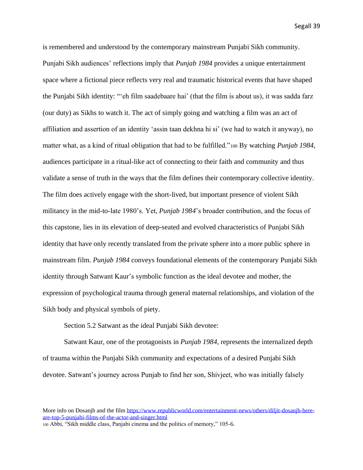is remembered and understood by the contemporary mainstream Punjabi Sikh community. Punjabi Sikh audiences' reflections imply that *Punjab 1984* provides a unique entertainment space where a fictional piece reflects very real and traumatic historical events that have shaped the Punjabi Sikh identity: "'eh film saadebaare hai' (that the film is about us), it was sadda farz (our duty) as Sikhs to watch it. The act of simply going and watching a film was an act of affiliation and assertion of an identity 'assin taan dekhna hi si' (we had to watch it anyway), no matter what, as a kind of ritual obligation that had to be fulfilled."<sup>100</sup> By watching *Punjab 1984*, audiences participate in a ritual-like act of connecting to their faith and community and thus validate a sense of truth in the ways that the film defines their contemporary collective identity. The film does actively engage with the short-lived, but important presence of violent Sikh militancy in the mid-to-late 1980's. Yet, *Punjab 1984*'s broader contribution, and the focus of this capstone, lies in its elevation of deep-seated and evolved characteristics of Punjabi Sikh identity that have only recently translated from the private sphere into a more public sphere in mainstream film. *Punjab 1984* conveys foundational elements of the contemporary Punjabi Sikh identity through Satwant Kaur's symbolic function as the ideal devotee and mother, the expression of psychological trauma through general maternal relationships, and violation of the Sikh body and physical symbols of piety.

Section 5.2 Satwant as the ideal Punjabi Sikh devotee:

Satwant Kaur, one of the protagonists in *Punjab 1984*, represents the internalized depth of trauma within the Punjabi Sikh community and expectations of a desired Punjabi Sikh devotee. Satwant's journey across Punjab to find her son, Shivjeet, who was initially falsely

<sup>100</sup> Abbi, "Sikh middle class, Panjabi cinema and the politics of memory," 105-6.

More info on Dosanjh and the film https://www.republicworld.com/entertainment-news/others/dilit-dosanjh-here[are-top-5-punjabi-films-of-the-actor-and-singer.html](https://www.republicworld.com/entertainment-news/others/diljit-dosanjh-here-are-top-5-punjabi-films-of-the-actor-and-singer.html)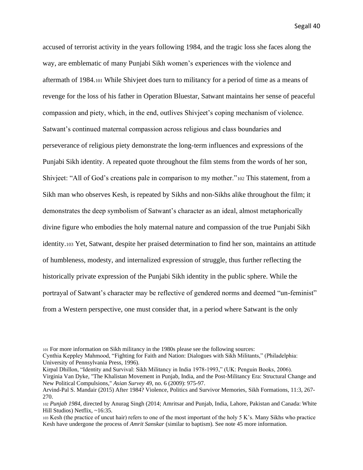accused of terrorist activity in the years following 1984, and the tragic loss she faces along the way, are emblematic of many Punjabi Sikh women's experiences with the violence and aftermath of 1984.<sup>101</sup> While Shivjeet does turn to militancy for a period of time as a means of revenge for the loss of his father in Operation Bluestar, Satwant maintains her sense of peaceful compassion and piety, which, in the end, outlives Shivjeet's coping mechanism of violence. Satwant's continued maternal compassion across religious and class boundaries and perseverance of religious piety demonstrate the long-term influences and expressions of the Punjabi Sikh identity. A repeated quote throughout the film stems from the words of her son, Shivjeet: "All of God's creations pale in comparison to my mother."<sup>102</sup> This statement, from a Sikh man who observes Kesh, is repeated by Sikhs and non-Sikhs alike throughout the film; it demonstrates the deep symbolism of Satwant's character as an ideal, almost metaphorically divine figure who embodies the holy maternal nature and compassion of the true Punjabi Sikh identity.<sup>103</sup> Yet, Satwant, despite her praised determination to find her son, maintains an attitude of humbleness, modesty, and internalized expression of struggle, thus further reflecting the historically private expression of the Punjabi Sikh identity in the public sphere. While the portrayal of Satwant's character may be reflective of gendered norms and deemed "un-feminist" from a Western perspective, one must consider that, in a period where Satwant is the only

Cynthia Keppley Mahmood, "Fighting for Faith and Nation: Dialogues with Sikh Militants," (Philadelphia: University of Pennsylvania Press, 1996).

Kirpal Dhillon, "Identity and Survival: Sikh Militancy in India 1978-1993," (UK: Penguin Books, 2006). Virginia Van Dyke, "The Khalistan Movement in Punjab, India, and the Post-Militancy Era: Structural Change and New Political Compulsions," *Asian Survey* 49, no. 6 (2009): 975-97.

<sup>101</sup> For more information on Sikh militancy in the 1980s please see the following sources:

Arvind-Pal S. Mandair (2015) After 1984? Violence, Politics and Survivor Memories, Sikh Formations, 11:3, 267- 270.

<sup>102</sup> *Punjab 1984*, directed by Anurag Singh (2014; Amritsar and Punjab, India, Lahore, Pakistan and Canada: White Hill Studios) Netflix, ~16:35.

<sup>103</sup> Kesh (the practice of uncut hair) refers to one of the most important of the holy 5 K's. Many Sikhs who practice Kesh have undergone the process of *Amrit Sanskar* (similar to baptism). See note 45 more information.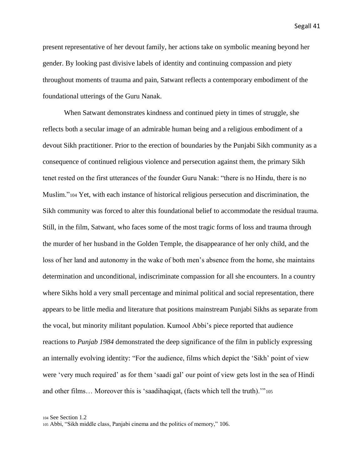present representative of her devout family, her actions take on symbolic meaning beyond her gender. By looking past divisive labels of identity and continuing compassion and piety throughout moments of trauma and pain, Satwant reflects a contemporary embodiment of the foundational utterings of the Guru Nanak.

When Satwant demonstrates kindness and continued piety in times of struggle, she reflects both a secular image of an admirable human being and a religious embodiment of a devout Sikh practitioner. Prior to the erection of boundaries by the Punjabi Sikh community as a consequence of continued religious violence and persecution against them, the primary Sikh tenet rested on the first utterances of the founder Guru Nanak: "there is no Hindu, there is no Muslim."<sup>104</sup> Yet, with each instance of historical religious persecution and discrimination, the Sikh community was forced to alter this foundational belief to accommodate the residual trauma. Still, in the film, Satwant, who faces some of the most tragic forms of loss and trauma through the murder of her husband in the Golden Temple, the disappearance of her only child, and the loss of her land and autonomy in the wake of both men's absence from the home, she maintains determination and unconditional, indiscriminate compassion for all she encounters. In a country where Sikhs hold a very small percentage and minimal political and social representation, there appears to be little media and literature that positions mainstream Punjabi Sikhs as separate from the vocal, but minority militant population. Kumool Abbi's piece reported that audience reactions to *Punjab 1984* demonstrated the deep significance of the film in publicly expressing an internally evolving identity: "For the audience, films which depict the 'Sikh' point of view were 'very much required' as for them 'saadi gal' our point of view gets lost in the sea of Hindi and other films… Moreover this is 'saadihaqiqat, (facts which tell the truth).'"<sup>105</sup>

<sup>104</sup> See Section 1.2

<sup>105</sup> Abbi, "Sikh middle class, Panjabi cinema and the politics of memory," 106.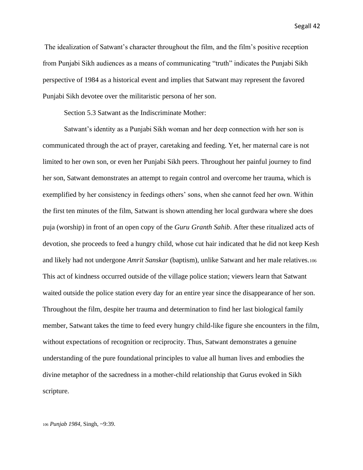The idealization of Satwant's character throughout the film, and the film's positive reception from Punjabi Sikh audiences as a means of communicating "truth" indicates the Punjabi Sikh perspective of 1984 as a historical event and implies that Satwant may represent the favored Punjabi Sikh devotee over the militaristic persona of her son.

Section 5.3 Satwant as the Indiscriminate Mother:

Satwant's identity as a Punjabi Sikh woman and her deep connection with her son is communicated through the act of prayer, caretaking and feeding. Yet, her maternal care is not limited to her own son, or even her Punjabi Sikh peers. Throughout her painful journey to find her son, Satwant demonstrates an attempt to regain control and overcome her trauma, which is exemplified by her consistency in feedings others' sons, when she cannot feed her own. Within the first ten minutes of the film, Satwant is shown attending her local gurdwara where she does puja (worship) in front of an open copy of the *Guru Granth Sahib*. After these ritualized acts of devotion, she proceeds to feed a hungry child, whose cut hair indicated that he did not keep Kesh and likely had not undergone *Amrit Sanskar* (baptism), unlike Satwant and her male relatives.<sup>106</sup> This act of kindness occurred outside of the village police station; viewers learn that Satwant waited outside the police station every day for an entire year since the disappearance of her son. Throughout the film, despite her trauma and determination to find her last biological family member, Satwant takes the time to feed every hungry child-like figure she encounters in the film, without expectations of recognition or reciprocity. Thus, Satwant demonstrates a genuine understanding of the pure foundational principles to value all human lives and embodies the divine metaphor of the sacredness in a mother-child relationship that Gurus evoked in Sikh scripture.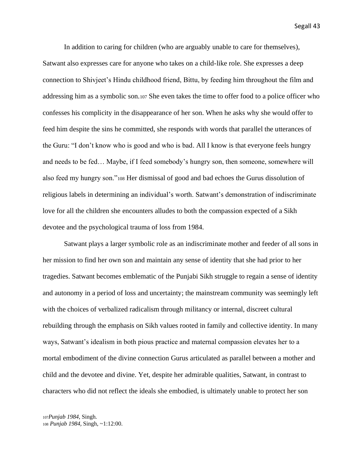In addition to caring for children (who are arguably unable to care for themselves), Satwant also expresses care for anyone who takes on a child-like role. She expresses a deep connection to Shivjeet's Hindu childhood friend, Bittu, by feeding him throughout the film and addressing him as a symbolic son.<sup>107</sup> She even takes the time to offer food to a police officer who confesses his complicity in the disappearance of her son. When he asks why she would offer to feed him despite the sins he committed, she responds with words that parallel the utterances of the Guru: "I don't know who is good and who is bad. All I know is that everyone feels hungry and needs to be fed… Maybe, if I feed somebody's hungry son, then someone, somewhere will also feed my hungry son."<sup>108</sup> Her dismissal of good and bad echoes the Gurus dissolution of religious labels in determining an individual's worth. Satwant's demonstration of indiscriminate love for all the children she encounters alludes to both the compassion expected of a Sikh devotee and the psychological trauma of loss from 1984.

Satwant plays a larger symbolic role as an indiscriminate mother and feeder of all sons in her mission to find her own son and maintain any sense of identity that she had prior to her tragedies. Satwant becomes emblematic of the Punjabi Sikh struggle to regain a sense of identity and autonomy in a period of loss and uncertainty; the mainstream community was seemingly left with the choices of verbalized radicalism through militancy or internal, discreet cultural rebuilding through the emphasis on Sikh values rooted in family and collective identity. In many ways, Satwant's idealism in both pious practice and maternal compassion elevates her to a mortal embodiment of the divine connection Gurus articulated as parallel between a mother and child and the devotee and divine. Yet, despite her admirable qualities, Satwant, in contrast to characters who did not reflect the ideals she embodied, is ultimately unable to protect her son

<sup>107</sup>*Punjab 1984*, Singh. <sup>108</sup> *Punjab 1984*, Singh, ~1:12:00.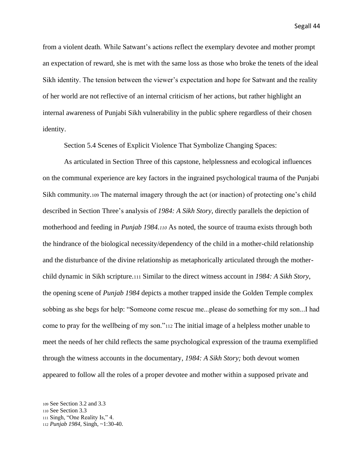from a violent death. While Satwant's actions reflect the exemplary devotee and mother prompt an expectation of reward, she is met with the same loss as those who broke the tenets of the ideal Sikh identity. The tension between the viewer's expectation and hope for Satwant and the reality of her world are not reflective of an internal criticism of her actions, but rather highlight an internal awareness of Punjabi Sikh vulnerability in the public sphere regardless of their chosen identity.

Section 5.4 Scenes of Explicit Violence That Symbolize Changing Spaces:

As articulated in Section Three of this capstone, helplessness and ecological influences on the communal experience are key factors in the ingrained psychological trauma of the Punjabi Sikh community.<sup>109</sup> The maternal imagery through the act (or inaction) of protecting one's child described in Section Three's analysis of *1984: A Sikh Story,* directly parallels the depiction of motherhood and feeding in *Punjab 1984.<sup>110</sup>* As noted, the source of trauma exists through both the hindrance of the biological necessity/dependency of the child in a mother-child relationship and the disturbance of the divine relationship as metaphorically articulated through the motherchild dynamic in Sikh scripture.<sup>111</sup> Similar to the direct witness account in *1984: A Sikh Story*, the opening scene of *Punjab 1984* depicts a mother trapped inside the Golden Temple complex sobbing as she begs for help: "Someone come rescue me...please do something for my son...I had come to pray for the wellbeing of my son."<sup>112</sup> The initial image of a helpless mother unable to meet the needs of her child reflects the same psychological expression of the trauma exemplified through the witness accounts in the documentary, *1984: A Sikh Story;* both devout women appeared to follow all the roles of a proper devotee and mother within a supposed private and

<sup>109</sup> See Section 3.2 and 3.3

<sup>110</sup> See Section 3.3

<sup>111</sup> Singh, "One Reality Is," 4.

<sup>112</sup> *Punjab 1984*, Singh, ~1:30-40.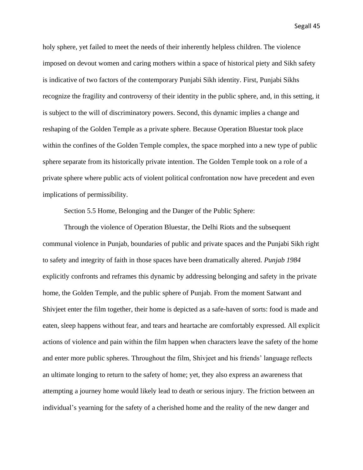holy sphere, yet failed to meet the needs of their inherently helpless children. The violence imposed on devout women and caring mothers within a space of historical piety and Sikh safety is indicative of two factors of the contemporary Punjabi Sikh identity. First, Punjabi Sikhs recognize the fragility and controversy of their identity in the public sphere, and, in this setting, it is subject to the will of discriminatory powers. Second, this dynamic implies a change and reshaping of the Golden Temple as a private sphere. Because Operation Bluestar took place within the confines of the Golden Temple complex, the space morphed into a new type of public sphere separate from its historically private intention. The Golden Temple took on a role of a private sphere where public acts of violent political confrontation now have precedent and even implications of permissibility.

Section 5.5 Home, Belonging and the Danger of the Public Sphere:

Through the violence of Operation Bluestar, the Delhi Riots and the subsequent communal violence in Punjab, boundaries of public and private spaces and the Punjabi Sikh right to safety and integrity of faith in those spaces have been dramatically altered. *Punjab 1984* explicitly confronts and reframes this dynamic by addressing belonging and safety in the private home, the Golden Temple, and the public sphere of Punjab. From the moment Satwant and Shivjeet enter the film together, their home is depicted as a safe-haven of sorts: food is made and eaten, sleep happens without fear, and tears and heartache are comfortably expressed. All explicit actions of violence and pain within the film happen when characters leave the safety of the home and enter more public spheres. Throughout the film, Shivjeet and his friends' language reflects an ultimate longing to return to the safety of home; yet, they also express an awareness that attempting a journey home would likely lead to death or serious injury. The friction between an individual's yearning for the safety of a cherished home and the reality of the new danger and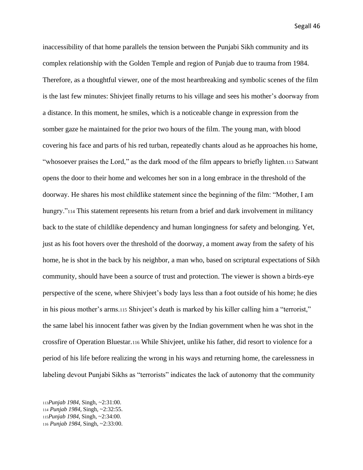inaccessibility of that home parallels the tension between the Punjabi Sikh community and its complex relationship with the Golden Temple and region of Punjab due to trauma from 1984. Therefore, as a thoughtful viewer, one of the most heartbreaking and symbolic scenes of the film is the last few minutes: Shivjeet finally returns to his village and sees his mother's doorway from a distance. In this moment, he smiles, which is a noticeable change in expression from the somber gaze he maintained for the prior two hours of the film. The young man, with blood covering his face and parts of his red turban, repeatedly chants aloud as he approaches his home, "whosoever praises the Lord," as the dark mood of the film appears to briefly lighten.<sup>113</sup> Satwant opens the door to their home and welcomes her son in a long embrace in the threshold of the doorway. He shares his most childlike statement since the beginning of the film: "Mother, I am hungry."<sup>114</sup> This statement represents his return from a brief and dark involvement in militancy back to the state of childlike dependency and human longingness for safety and belonging. Yet, just as his foot hovers over the threshold of the doorway, a moment away from the safety of his home, he is shot in the back by his neighbor, a man who, based on scriptural expectations of Sikh community, should have been a source of trust and protection. The viewer is shown a birds-eye perspective of the scene, where Shivjeet's body lays less than a foot outside of his home; he dies in his pious mother's arms.<sup>115</sup> Shivjeet's death is marked by his killer calling him a "terrorist," the same label his innocent father was given by the Indian government when he was shot in the crossfire of Operation Bluestar.<sup>116</sup> While Shivjeet, unlike his father, did resort to violence for a period of his life before realizing the wrong in his ways and returning home, the carelessness in labeling devout Punjabi Sikhs as "terrorists" indicates the lack of autonomy that the community

<sup>113</sup>*Punjab 1984*, Singh, ~2:31:00. <sup>114</sup> *Punjab 1984*, Singh, ~2:32:55. <sup>115</sup>*Punjab 1984*, Singh, ~2:34:00. <sup>116</sup> *Punjab 1984*, Singh, ~2:33:00.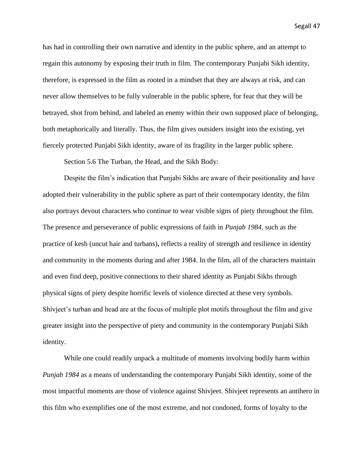has had in controlling their own narrative and identity in the public sphere, and an attempt to regain this autonomy by exposing their truth in film. The contemporary Punjabi Sikh identity, therefore, is expressed in the film as rooted in a mindset that they are always at risk, and can never allow themselves to be fully vulnerable in the public sphere, for fear that they will be betrayed, shot from behind, and labeled an enemy within their own supposed place of belonging, both metaphorically and literally. Thus, the film gives outsiders insight into the existing, yet fiercely protected Punjabi Sikh identity, aware of its fragility in the larger public sphere.

Section 5.6 The Turban, the Head, and the Sikh Body:

Despite the film's indication that Punjabi Sikhs are aware of their positionality and have adopted their vulnerability in the public sphere as part of their contemporary identity, the film also portrays devout characters who continue to wear visible signs of piety throughout the film. The presence and perseverance of public expressions of faith in *Punjab 1984*, such as the practice of kesh (uncut hair and turbans), reflects a reality of strength and resilience in identity and community in the moments during and after 1984. In the film, all of the characters maintain and even find deep, positive connections to their shared identity as Punjabi Sikhs through physical signs of piety despite horrific levels of violence directed at these very symbols. Shivjeet's turban and head are at the focus of multiple plot motifs throughout the film and give greater insight into the perspective of piety and community in the contemporary Punjabi Sikh identity.

While one could readily unpack a multitude of moments involving bodily harm within *Punjab 1984* as a means of understanding the contemporary Punjabi Sikh identity, some of the most impactful moments are those of violence against Shivjeet. Shivjeet represents an antihero in this film who exemplifies one of the most extreme, and not condoned, forms of loyalty to the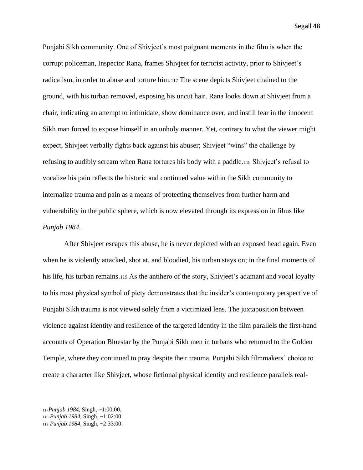Punjabi Sikh community. One of Shivjeet's most poignant moments in the film is when the corrupt policeman, Inspector Rana, frames Shivjeet for terrorist activity, prior to Shivjeet's radicalism, in order to abuse and torture him.<sup>117</sup> The scene depicts Shivjeet chained to the ground, with his turban removed, exposing his uncut hair. Rana looks down at Shivjeet from a chair, indicating an attempt to intimidate, show dominance over, and instill fear in the innocent Sikh man forced to expose himself in an unholy manner. Yet, contrary to what the viewer might expect, Shivjeet verbally fights back against his abuser; Shivjeet "wins" the challenge by refusing to audibly scream when Rana tortures his body with a paddle.<sup>118</sup> Shivjeet's refusal to vocalize his pain reflects the historic and continued value within the Sikh community to internalize trauma and pain as a means of protecting themselves from further harm and vulnerability in the public sphere, which is now elevated through its expression in films like *Punjab 1984*.

After Shivjeet escapes this abuse, he is never depicted with an exposed head again. Even when he is violently attacked, shot at, and bloodied, his turban stays on; in the final moments of his life, his turban remains.<sup>119</sup> As the antihero of the story, Shivjeet's adamant and vocal loyalty to his most physical symbol of piety demonstrates that the insider's contemporary perspective of Punjabi Sikh trauma is not viewed solely from a victimized lens. The juxtaposition between violence against identity and resilience of the targeted identity in the film parallels the first-hand accounts of Operation Bluestar by the Punjabi Sikh men in turbans who returned to the Golden Temple, where they continued to pray despite their trauma. Punjabi Sikh filmmakers' choice to create a character like Shivjeet, whose fictional physical identity and resilience parallels real-

<sup>117</sup>*Punjab 1984*, Singh, ~1:00:00. <sup>118</sup> *Punjab 1984*, Singh, ~1:02:00. <sup>119</sup> *Punjab 1984*, Singh, ~2:33:00.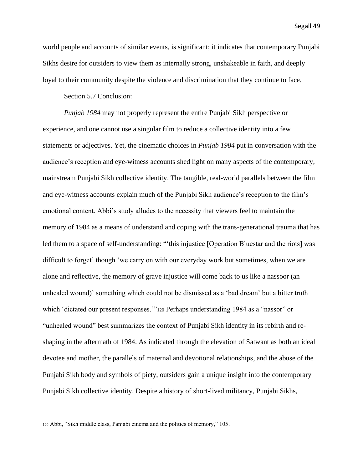world people and accounts of similar events, is significant; it indicates that contemporary Punjabi Sikhs desire for outsiders to view them as internally strong, unshakeable in faith, and deeply loyal to their community despite the violence and discrimination that they continue to face.

Section 5.7 Conclusion:

*Punjab 1984* may not properly represent the entire Punjabi Sikh perspective or experience, and one cannot use a singular film to reduce a collective identity into a few statements or adjectives. Yet, the cinematic choices in *Punjab 1984* put in conversation with the audience's reception and eye-witness accounts shed light on many aspects of the contemporary, mainstream Punjabi Sikh collective identity. The tangible, real-world parallels between the film and eye-witness accounts explain much of the Punjabi Sikh audience's reception to the film's emotional content. Abbi's study alludes to the necessity that viewers feel to maintain the memory of 1984 as a means of understand and coping with the trans-generational trauma that has led them to a space of self-understanding: "'this injustice [Operation Bluestar and the riots] was difficult to forget' though 'we carry on with our everyday work but sometimes, when we are alone and reflective, the memory of grave injustice will come back to us like a nassoor (an unhealed wound)' something which could not be dismissed as a 'bad dream' but a bitter truth which 'dictated our present responses.'"<sup>120</sup> Perhaps understanding 1984 as a "nassor" or "unhealed wound" best summarizes the context of Punjabi Sikh identity in its rebirth and reshaping in the aftermath of 1984. As indicated through the elevation of Satwant as both an ideal devotee and mother, the parallels of maternal and devotional relationships, and the abuse of the Punjabi Sikh body and symbols of piety, outsiders gain a unique insight into the contemporary Punjabi Sikh collective identity. Despite a history of short-lived militancy, Punjabi Sikhs,

<sup>120</sup> Abbi, "Sikh middle class, Panjabi cinema and the politics of memory," 105.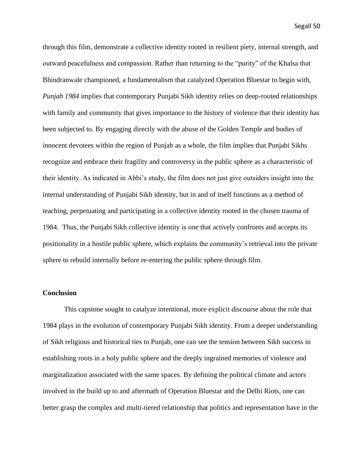through this film, demonstrate a collective identity rooted in resilient piety, internal strength, and outward peacefulness and compassion. Rather than returning to the "purity" of the Khalsa that Bhindranwale championed, a fundamentalism that catalyzed Operation Bluestar to begin with, *Punjab 1984* implies that contemporary Punjabi Sikh identity relies on deep-rooted relationships with family and community that gives importance to the history of violence that their identity has been subjected to. By engaging directly with the abuse of the Golden Temple and bodies of innocent devotees within the region of Punjab as a whole, the film implies that Punjabi Sikhs recognize and embrace their fragility and controversy in the public sphere as a characteristic of their identity. As indicated in Abbi's study, the film does not just give outsiders insight into the internal understanding of Punjabi Sikh identity, but in and of itself functions as a method of teaching, perpetuating and participating in a collective identity rooted in the chosen trauma of 1984. Thus, the Punjabi Sikh collective identity is one that actively confronts and accepts its positionality in a hostile public sphere, which explains the community's retrieval into the private sphere to rebuild internally before re-entering the public sphere through film.

#### **Conclusion**

This capstone sought to catalyze intentional, more explicit discourse about the role that 1984 plays in the evolution of contemporary Punjabi Sikh identity. From a deeper understanding of Sikh religious and historical ties to Punjab, one can see the tension between Sikh success in establishing roots in a holy public sphere and the deeply ingrained memories of violence and marginalization associated with the same spaces. By defining the political climate and actors involved in the build up to and aftermath of Operation Bluestar and the Delhi Riots, one can better grasp the complex and multi-tiered relationship that politics and representation have in the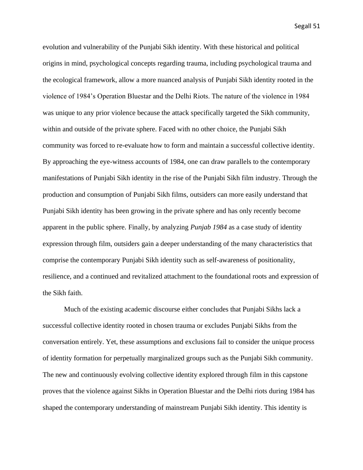evolution and vulnerability of the Punjabi Sikh identity. With these historical and political origins in mind, psychological concepts regarding trauma, including psychological trauma and the ecological framework, allow a more nuanced analysis of Punjabi Sikh identity rooted in the violence of 1984's Operation Bluestar and the Delhi Riots. The nature of the violence in 1984 was unique to any prior violence because the attack specifically targeted the Sikh community, within and outside of the private sphere. Faced with no other choice, the Punjabi Sikh community was forced to re-evaluate how to form and maintain a successful collective identity. By approaching the eye-witness accounts of 1984, one can draw parallels to the contemporary manifestations of Punjabi Sikh identity in the rise of the Punjabi Sikh film industry. Through the production and consumption of Punjabi Sikh films, outsiders can more easily understand that Punjabi Sikh identity has been growing in the private sphere and has only recently become apparent in the public sphere. Finally, by analyzing *Punjab 1984* as a case study of identity expression through film, outsiders gain a deeper understanding of the many characteristics that comprise the contemporary Punjabi Sikh identity such as self-awareness of positionality, resilience, and a continued and revitalized attachment to the foundational roots and expression of the Sikh faith.

Much of the existing academic discourse either concludes that Punjabi Sikhs lack a successful collective identity rooted in chosen trauma or excludes Punjabi Sikhs from the conversation entirely. Yet, these assumptions and exclusions fail to consider the unique process of identity formation for perpetually marginalized groups such as the Punjabi Sikh community. The new and continuously evolving collective identity explored through film in this capstone proves that the violence against Sikhs in Operation Bluestar and the Delhi riots during 1984 has shaped the contemporary understanding of mainstream Punjabi Sikh identity. This identity is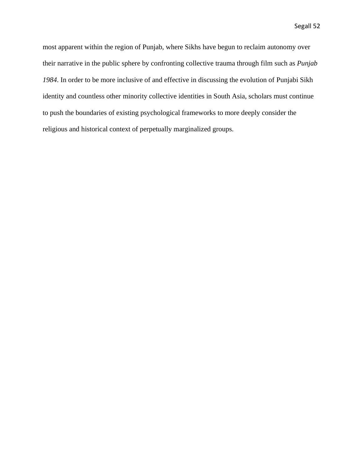most apparent within the region of Punjab, where Sikhs have begun to reclaim autonomy over their narrative in the public sphere by confronting collective trauma through film such as *Punjab 1984*. In order to be more inclusive of and effective in discussing the evolution of Punjabi Sikh identity and countless other minority collective identities in South Asia, scholars must continue to push the boundaries of existing psychological frameworks to more deeply consider the religious and historical context of perpetually marginalized groups.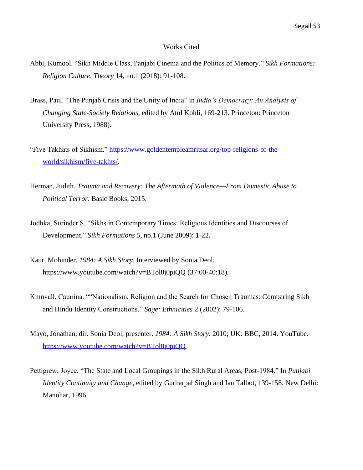#### Works Cited

- Abbi, Kumool. "Sikh Middle Class, Panjabi Cinema and the Politics of Memory." *Sikh Formations: Religion Culture, Theory* 14, no.1 (2018): 91-108.
- Brass, Paul. "The Punjab Crisis and the Unity of India" in *India's Democracy: An Analysis of Changing State-Society Relations*, edited by Atul Kohli, 169-213. Princeton: Princeton University Press, 1988).
- "Five Takhats of Sikhism." [https://www.goldentempleamritsar.org/top-religions-of-the](https://www.goldentempleamritsar.org/top-religions-of-the-world/sikhism/five-takhts/)[world/sikhism/five-takhts/.](https://www.goldentempleamritsar.org/top-religions-of-the-world/sikhism/five-takhts/)
- Herman, Judith. *Trauma and Recovery: The Aftermath of Violence—From Domestic Abuse to Political Terror*. Basic Books, 2015.
- Jodhka, Surinder S. "Sikhs in Contemporary Times: Religious Identities and Discourses of Development." *Sikh Formations* 5, no.1 (June 2009): 1-22.
- Kaur, Mohinder. *1984: A Sikh Story*. Interviewed by Sonia Deol. <https://www.youtube.com/watch?v=BTol8j0piQQ> (37:00-40:18).
- Kinnvall, Catarina. ""Nationalism, Religion and the Search for Chosen Traumas: Comparing Sikh and Hindu Identity Constructions." *Sage: Ethnicities* 2 (2002): 79-106.
- Mayo, Jonathan, dir. Sonia Deol, presenter. *1984: A Sikh Story*. 2010; UK: BBC, 2014. YouTube[.](https://www.youtube.com/watch?v=BTol8j0piQQ) [https://www.youtube.com/watch?v=BTol8j0piQQ.](https://www.youtube.com/watch?v=BTol8j0piQQ)
- Pettigrew, Joyce. "The State and Local Groupings in the Sikh Rural Areas, Post-1984." In *Punjabi Identity Continuity and Change*, edited by Gurharpal Singh and Ian Talbot, 139-158. New Delhi: Manohar, 1996.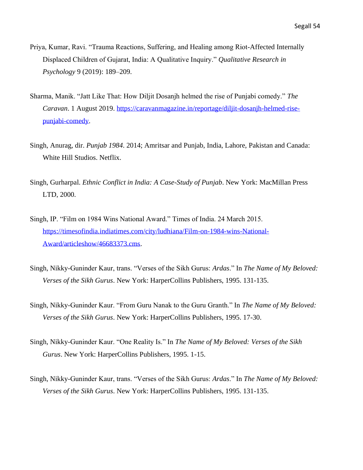- Priya, Kumar, Ravi. "Trauma Reactions, Suffering, and Healing among Riot-Affected Internally Displaced Children of Gujarat, India: A Qualitative Inquiry." *Qualitative Research in Psychology* 9 (2019): 189–209.
- Sharma, Manik. "Jatt Like That: How Diljit Dosanjh helmed the rise of Punjabi comedy." *The Caravan*. 1 August 2019. [https://caravanmagazine.in/reportage/diljit-dosanjh-helmed-rise](https://caravanmagazine.in/reportage/diljit-dosanjh-helmed-rise-punjabi-comedy)[punjabi-comedy.](https://caravanmagazine.in/reportage/diljit-dosanjh-helmed-rise-punjabi-comedy)
- Singh, Anurag, dir. *Punjab 1984*. 2014; Amritsar and Punjab, India, Lahore, Pakistan and Canada: White Hill Studios. Netflix.
- Singh, Gurharpal. *Ethnic Conflict in India: A Case-Study of Punjab*. New York: MacMillan Press LTD, 2000.
- Singh, IP. "Film on 1984 Wins National Award." Times of India. 24 March 2015. [https://timesofindia.indiatimes.com/city/ludhiana/Film-on-1984-wins-National-](https://timesofindia.indiatimes.com/city/ludhiana/Film-on-1984-wins-National-Award/articleshow/46683373.cms)[Award/articleshow/46683373.cms.](https://timesofindia.indiatimes.com/city/ludhiana/Film-on-1984-wins-National-Award/articleshow/46683373.cms)
- Singh, Nikky-Guninder Kaur, trans. "Verses of the Sikh Gurus: *Ardas*." In *The Name of My Beloved: Verses of the Sikh Gurus*. New York: HarperCollins Publishers, 1995. 131-135.
- Singh, Nikky-Guninder Kaur. "From Guru Nanak to the Guru Granth." In *The Name of My Beloved: Verses of the Sikh Gurus*. New York: HarperCollins Publishers, 1995. 17-30.
- Singh, Nikky-Guninder Kaur. "One Reality Is." In *The Name of My Beloved: Verses of the Sikh Gurus*. New York: HarperCollins Publishers, 1995. 1-15.
- Singh, Nikky-Guninder Kaur, trans. "Verses of the Sikh Gurus: *Ardas*." In *The Name of My Beloved: Verses of the Sikh Gurus*. New York: HarperCollins Publishers, 1995. 131-135.